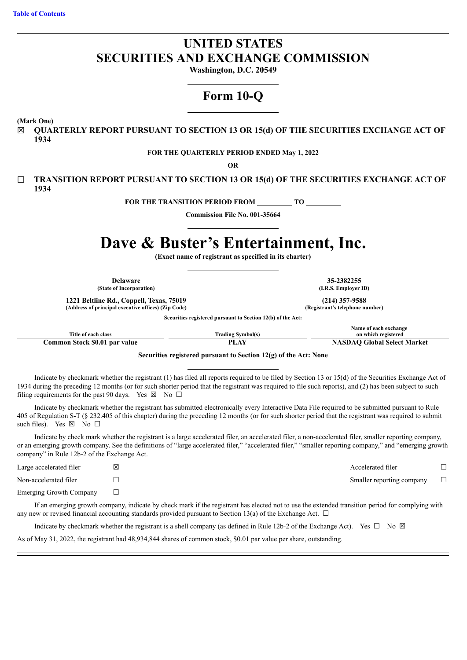# **UNITED STATES SECURITIES AND EXCHANGE COMMISSION**

**Washington, D.C. 20549**

# **Form 10-Q**

**(Mark One)**

☒ **QUARTERLY REPORT PURSUANT TO SECTION 13 OR 15(d) OF THE SECURITIES EXCHANGE ACT OF 1934**

#### **FOR THE QUARTERLY PERIOD ENDED May 1, 2022**

**OR**

☐ **TRANSITION REPORT PURSUANT TO SECTION 13 OR 15(d) OF THE SECURITIES EXCHANGE ACT OF 1934**

**FOR THE TRANSITION PERIOD FROM TO**

**Commission File No. 001-35664**

# **Dave & Buster's Entertainment, Inc.**

**(Exact name of registrant as specified in its charter)**

 $(State of Incorporation)$ 

**Delaware 35-2382255**<br> **35-2382255**<br> **1.R.S. Employer ID** 

**1221 Beltline Rd., Coppell, Texas, 75019 (214) 357-9588 (Address of principal executive offices) (Zip Code) (Registrant's telephone number)**

**Securities registered pursuant to Section 12(b) of the Act:**

|                               |                   | Name of each exchange              |
|-------------------------------|-------------------|------------------------------------|
| Title of each class           | [rading Svmbol(s) | on which registered                |
| Common Stock \$0.01 par value | $\Lambda$<br>DТ   | <b>NASDAO Global Select Market</b> |

#### **Securities registered pursuant to Section 12(g) of the Act: None**

Indicate by checkmark whether the registrant (1) has filed all reports required to be filed by Section 13 or 15(d) of the Securities Exchange Act of 1934 during the preceding 12 months (or for such shorter period that the registrant was required to file such reports), and (2) has been subject to such filing requirements for the past 90 days. Yes  $\boxtimes$  No  $\Box$ 

Indicate by checkmark whether the registrant has submitted electronically every Interactive Data File required to be submitted pursuant to Rule 405 of Regulation S-T (§ 232.405 of this chapter) during the preceding 12 months (or for such shorter period that the registrant was required to submit such files). Yes  $\boxtimes$  No  $\square$ 

Indicate by check mark whether the registrant is a large accelerated filer, an accelerated filer, a non-accelerated filer, smaller reporting company, or an emerging growth company. See the definitions of "large accelerated filer," "accelerated filer," "smaller reporting company," and "emerging growth company" in Rule 12b-2 of the Exchange Act.

| Large accelerated filer        | Accelerated filer         |  |
|--------------------------------|---------------------------|--|
| Non-accelerated filer          | Smaller reporting company |  |
| <b>Emerging Growth Company</b> |                           |  |

If an emerging growth company, indicate by check mark if the registrant has elected not to use the extended transition period for complying with any new or revised financial accounting standards provided pursuant to Section 13(a) of the Exchange Act.  $\Box$ 

Indicate by checkmark whether the registrant is a shell company (as defined in Rule 12b-2 of the Exchange Act). Yes  $\Box$  No  $\boxtimes$ 

As of May 31, 2022, the registrant had 48,934,844 shares of common stock, \$0.01 par value per share, outstanding.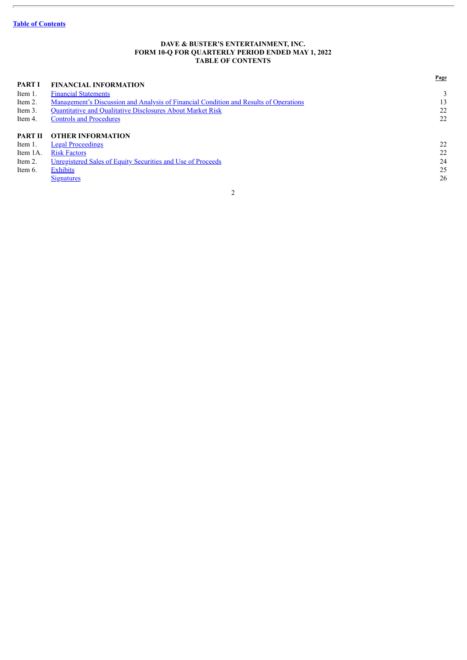ŀ.

#### **DAVE & BUSTER'S ENTERTAINMENT, INC. FORM 10-Q FOR QUARTERLY PERIOD ENDED MAY 1, 2022 TABLE OF CONTENTS**

<span id="page-1-0"></span>

|                |                                                                                       | Page |
|----------------|---------------------------------------------------------------------------------------|------|
| <b>PART I</b>  | <b>FINANCIAL INFORMATION</b>                                                          |      |
| Item 1.        | <b>Financial Statements</b>                                                           | 3    |
| Item 2.        | Management's Discussion and Analysis of Financial Condition and Results of Operations | 13   |
| Item 3.        | <b>Quantitative and Qualitative Disclosures About Market Risk</b>                     | 22   |
| Item 4.        | <b>Controls and Procedures</b>                                                        | 22   |
|                |                                                                                       |      |
| <b>PART II</b> | <b>OTHER INFORMATION</b>                                                              |      |
| Item 1.        | <b>Legal Proceedings</b>                                                              | 22   |
| Item 1A.       | <b>Risk Factors</b>                                                                   | 22   |
| Item 2.        | Unregistered Sales of Equity Securities and Use of Proceeds                           | 24   |
| Item 6.        | <b>Exhibits</b>                                                                       | 25   |
|                | Signatures                                                                            | 26   |
|                |                                                                                       |      |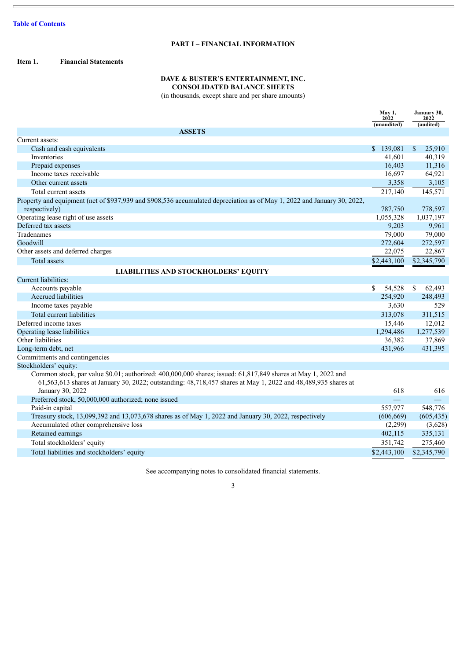### **PART I – FINANCIAL INFORMATION**

### <span id="page-2-0"></span>**Item 1. Financial Statements**

### **DAVE & BUSTER'S ENTERTAINMENT, INC. CONSOLIDATED BALANCE SHEETS**

(in thousands, except share and per share amounts)

|                                                                                                                                                                                                                               | May 1,<br>2022           | January 30,<br>2022    |
|-------------------------------------------------------------------------------------------------------------------------------------------------------------------------------------------------------------------------------|--------------------------|------------------------|
| <b>ASSETS</b>                                                                                                                                                                                                                 | (unaudited)              | (audited)              |
| Current assets:                                                                                                                                                                                                               |                          |                        |
| Cash and cash equivalents                                                                                                                                                                                                     | \$139,081                | $\mathbb{S}$<br>25,910 |
| Inventories                                                                                                                                                                                                                   | 41.601                   | 40,319                 |
| Prepaid expenses                                                                                                                                                                                                              | 16,403                   | 11,316                 |
| Income taxes receivable                                                                                                                                                                                                       | 16,697                   | 64,921                 |
| Other current assets                                                                                                                                                                                                          | 3,358                    | 3,105                  |
| Total current assets                                                                                                                                                                                                          | 217,140                  | 145,571                |
| Property and equipment (net of \$937,939 and \$908,536 accumulated depreciation as of May 1, 2022 and January 30, 2022,                                                                                                       |                          |                        |
| respectively)                                                                                                                                                                                                                 | 787,750                  | 778,597                |
| Operating lease right of use assets                                                                                                                                                                                           | 1,055,328                | 1,037,197              |
| Deferred tax assets                                                                                                                                                                                                           | 9,203                    | 9,961                  |
| Tradenames                                                                                                                                                                                                                    | 79,000                   | 79,000                 |
| Goodwill                                                                                                                                                                                                                      | 272,604                  | 272,597                |
| Other assets and deferred charges                                                                                                                                                                                             | 22,075                   | 22,867                 |
| Total assets                                                                                                                                                                                                                  | \$2,443,100              | \$2,345,790            |
| <b>LIABILITIES AND STOCKHOLDERS' EQUITY</b>                                                                                                                                                                                   |                          |                        |
| Current liabilities:                                                                                                                                                                                                          |                          |                        |
| Accounts payable                                                                                                                                                                                                              | \$<br>54,528             | $\mathbf S$<br>62,493  |
| <b>Accrued liabilities</b>                                                                                                                                                                                                    | 254,920                  | 248,493                |
| Income taxes payable                                                                                                                                                                                                          | 3,630                    | 529                    |
| Total current liabilities                                                                                                                                                                                                     | 313,078                  | 311,515                |
| Deferred income taxes                                                                                                                                                                                                         | 15,446                   | 12,012                 |
| Operating lease liabilities                                                                                                                                                                                                   | 1,294,486                | 1,277,539              |
| Other liabilities                                                                                                                                                                                                             | 36,382                   | 37,869                 |
| Long-term debt, net                                                                                                                                                                                                           | 431,966                  | 431,395                |
| Commitments and contingencies                                                                                                                                                                                                 |                          |                        |
| Stockholders' equity:                                                                                                                                                                                                         |                          |                        |
| Common stock, par value \$0.01; authorized: 400,000,000 shares; issued: 61,817,849 shares at May 1, 2022 and<br>61,563,613 shares at January 30, 2022; outstanding: 48,718,457 shares at May 1, 2022 and 48,489,935 shares at |                          |                        |
| January 30, 2022                                                                                                                                                                                                              | 618                      | 616                    |
| Preferred stock, 50,000,000 authorized; none issued                                                                                                                                                                           | $\overline{\phantom{0}}$ |                        |
| Paid-in capital                                                                                                                                                                                                               | 557,977                  | 548,776                |
| Treasury stock, 13,099,392 and 13,073,678 shares as of May 1, 2022 and January 30, 2022, respectively                                                                                                                         | (606, 669)               | (605, 435)             |
| Accumulated other comprehensive loss                                                                                                                                                                                          | (2,299)                  | (3,628)                |
| Retained earnings                                                                                                                                                                                                             | 402,115                  | 335,131                |
| Total stockholders' equity                                                                                                                                                                                                    | 351,742                  | 275,460                |
| Total liabilities and stockholders' equity                                                                                                                                                                                    | \$2,443,100              | \$2,345,790            |
|                                                                                                                                                                                                                               |                          |                        |

See accompanying notes to consolidated financial statements.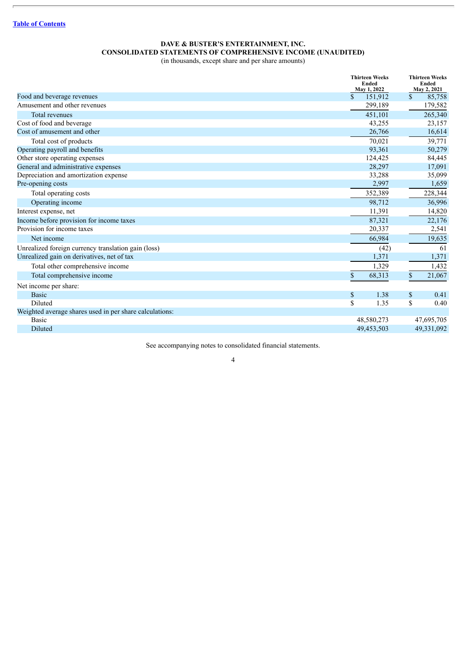## **DAVE & BUSTER'S ENTERTAINMENT, INC. CONSOLIDATED STATEMENTS OF COMPREHENSIVE INCOME (UNAUDITED)**

(in thousands, except share and per share amounts)

|                                                         | <b>Thirteen Weeks</b><br>Ended<br>May 1, 2022 | <b>Thirteen Weeks</b><br>Ended<br>May 2, 2021 |
|---------------------------------------------------------|-----------------------------------------------|-----------------------------------------------|
| Food and beverage revenues                              | $\mathbf{\hat{S}}$<br>151,912                 | $\mathbf S$<br>85,758                         |
| Amusement and other revenues                            | 299,189                                       | 179,582                                       |
| <b>Total revenues</b>                                   | 451,101                                       | 265,340                                       |
| Cost of food and beverage                               | 43,255                                        | 23,157                                        |
| Cost of amusement and other                             | 26,766                                        | 16,614                                        |
| Total cost of products                                  | 70,021                                        | 39,771                                        |
| Operating payroll and benefits                          | 93,361                                        | 50,279                                        |
| Other store operating expenses                          | 124,425                                       | 84,445                                        |
| General and administrative expenses                     | 28,297                                        | 17,091                                        |
| Depreciation and amortization expense                   | 33,288                                        | 35,099                                        |
| Pre-opening costs                                       | 2,997                                         | 1,659                                         |
| Total operating costs                                   | 352,389                                       | 228,344                                       |
| Operating income                                        | 98,712                                        | 36,996                                        |
| Interest expense, net                                   | 11,391                                        | 14,820                                        |
| Income before provision for income taxes                | 87,321                                        | 22,176                                        |
| Provision for income taxes                              | 20,337                                        | 2,541                                         |
| Net income                                              | 66,984                                        | 19,635                                        |
| Unrealized foreign currency translation gain (loss)     | (42)                                          | 61                                            |
| Unrealized gain on derivatives, net of tax              | 1,371                                         | 1,371                                         |
| Total other comprehensive income                        | 1,329                                         | 1,432                                         |
| Total comprehensive income                              | \$<br>68,313                                  | \$<br>21,067                                  |
| Net income per share:                                   |                                               |                                               |
| <b>Basic</b>                                            | \$<br>1.38                                    | \$<br>0.41                                    |
| Diluted                                                 | \$<br>1.35                                    | \$<br>0.40                                    |
| Weighted average shares used in per share calculations: |                                               |                                               |
| Basic                                                   | 48,580,273                                    | 47,695,705                                    |
| Diluted                                                 | 49,453,503                                    | 49,331,092                                    |

See accompanying notes to consolidated financial statements.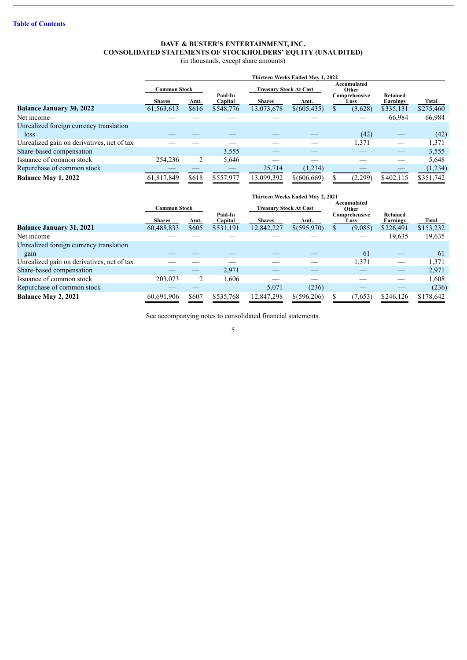### **DAVE & BUSTER'S ENTERTAINMENT, INC. CONSOLIDATED STATEMENTS OF STOCKHOLDERS' EQUITY (UNAUDITED)**

(in thousands, except share amounts)

|                                            | Thirteen Weeks Ended May 1, 2022 |               |                      |                               |                     |  |                                       |                       |                    |
|--------------------------------------------|----------------------------------|---------------|----------------------|-------------------------------|---------------------|--|---------------------------------------|-----------------------|--------------------|
|                                            | <b>Common Stock</b>              |               | Paid-In              | <b>Treasury Stock At Cost</b> |                     |  | Accumulated<br>Other<br>Comprehensive | <b>Retained</b>       |                    |
| <b>Balance January 30, 2022</b>            | <b>Shares</b><br>61,563,613      | Amt.<br>\$616 | Capital<br>\$548,776 | <b>Shares</b><br>13,073,678   | Amt.<br>\$(605,435) |  | Loss<br>(3,628)                       | Earnings<br>\$335,131 | Total<br>\$275,460 |
| Net income                                 |                                  |               |                      |                               |                     |  |                                       | 66,984                | 66,984             |
| Unrealized foreign currency translation    |                                  |               |                      |                               |                     |  |                                       |                       |                    |
| loss                                       |                                  |               |                      |                               |                     |  | (42)                                  |                       | (42)               |
| Unrealized gain on derivatives, net of tax |                                  |               |                      |                               |                     |  | 1,371                                 |                       | 1,371              |
| Share-based compensation                   |                                  |               | 3,555                |                               |                     |  |                                       |                       | 3,555              |
| Issuance of common stock                   | 254,236                          | 2             | 5,646                |                               |                     |  |                                       |                       | 5,648              |
| Repurchase of common stock                 |                                  |               |                      | 25,714                        | (1,234)             |  |                                       |                       | (1,234)            |
| Balance May 1, 2022                        | 61,817,849                       | \$618         | \$557,977            | 13,099,392                    | \$(606,669)         |  | (2,299)                               | \$402,115             | \$351,742          |

|                                            | Thirteen Weeks Ended May 2, 2021 |       |           |                               |              |  |                                       |                 |           |
|--------------------------------------------|----------------------------------|-------|-----------|-------------------------------|--------------|--|---------------------------------------|-----------------|-----------|
|                                            | <b>Common Stock</b>              |       | Paid-In   | <b>Treasury Stock At Cost</b> |              |  | Accumulated<br>Other<br>Comprehensive | <b>Retained</b> |           |
|                                            | <b>Shares</b>                    | Amt.  | Capital   | <b>Shares</b>                 | Amt.         |  | Loss                                  | <b>Earnings</b> | Total     |
| <b>Balance January 31, 2021</b>            | 60,488,833                       | \$605 | \$531,191 | 12,842,227                    | \$(595,970)  |  | (9,085)                               | \$226,491       | \$153,232 |
| Net income                                 |                                  |       |           |                               |              |  |                                       | 19,635          | 19,635    |
| Unrealized foreign currency translation    |                                  |       |           |                               |              |  |                                       |                 |           |
| gain                                       |                                  |       |           |                               |              |  | 61                                    |                 | 61        |
| Unrealized gain on derivatives, net of tax |                                  |       |           |                               |              |  | 1,371                                 |                 | 1,371     |
| Share-based compensation                   |                                  |       | 2,971     |                               |              |  |                                       | __              | 2,971     |
| Issuance of common stock                   | 203,073                          | 2     | 1,606     |                               |              |  |                                       |                 | 1,608     |
| Repurchase of common stock                 |                                  |       |           | 5,071                         | (236)        |  |                                       |                 | (236)     |
| Balance May 2, 2021                        | 60,691,906                       | \$607 | \$535,768 | 12,847,298                    | \$(596, 206) |  | (7,653)                               | \$246,126       | \$178,642 |

See accompanying notes to consolidated financial statements.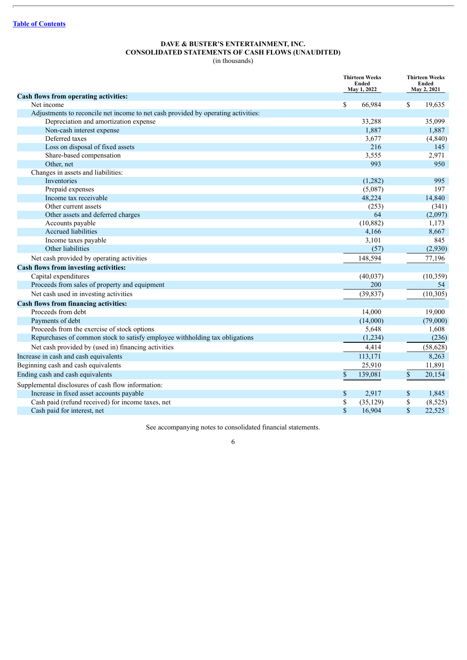### **DAVE & BUSTER'S ENTERTAINMENT, INC. CONSOLIDATED STATEMENTS OF CASH FLOWS (UNAUDITED)**

(in thousands)

|                                                                                   |    | <b>Thirteen Weeks</b><br>Ended<br>May 1, 2022 | <b>Thirteen Weeks</b><br>Ended<br>May 2, 2021 |           |
|-----------------------------------------------------------------------------------|----|-----------------------------------------------|-----------------------------------------------|-----------|
| <b>Cash flows from operating activities:</b>                                      |    |                                               |                                               |           |
| Net income                                                                        | \$ | 66,984                                        | \$                                            | 19,635    |
| Adjustments to reconcile net income to net cash provided by operating activities: |    |                                               |                                               |           |
| Depreciation and amortization expense                                             |    | 33,288                                        |                                               | 35,099    |
| Non-cash interest expense                                                         |    | 1,887                                         |                                               | 1,887     |
| Deferred taxes                                                                    |    | 3,677                                         |                                               | (4, 840)  |
| Loss on disposal of fixed assets                                                  |    | 216                                           |                                               | 145       |
| Share-based compensation                                                          |    | 3,555                                         |                                               | 2,971     |
| Other, net                                                                        |    | 993                                           |                                               | 950       |
| Changes in assets and liabilities:                                                |    |                                               |                                               |           |
| Inventories                                                                       |    | (1,282)                                       |                                               | 995       |
| Prepaid expenses                                                                  |    | (5,087)                                       |                                               | 197       |
| Income tax receivable                                                             |    | 48,224                                        |                                               | 14,840    |
| Other current assets                                                              |    | (253)                                         |                                               | (341)     |
| Other assets and deferred charges                                                 |    | 64                                            |                                               | (2,097)   |
| Accounts payable                                                                  |    | (10, 882)                                     |                                               | 1,173     |
| Accrued liabilities                                                               |    | 4,166                                         |                                               | 8,667     |
| Income taxes payable                                                              |    | 3,101                                         |                                               | 845       |
| Other liabilities                                                                 |    | (57)                                          |                                               | (2,930)   |
| Net cash provided by operating activities                                         |    | 148,594                                       |                                               | 77,196    |
| <b>Cash flows from investing activities:</b>                                      |    |                                               |                                               |           |
| Capital expenditures                                                              |    | (40, 037)                                     |                                               | (10, 359) |
| Proceeds from sales of property and equipment                                     |    | 200                                           |                                               | 54        |
| Net cash used in investing activities                                             |    | (39, 837)                                     |                                               | (10, 305) |
| <b>Cash flows from financing activities:</b>                                      |    |                                               |                                               |           |
| Proceeds from debt                                                                |    | 14,000                                        |                                               | 19,000    |
| Payments of debt                                                                  |    | (14,000)                                      |                                               | (79,000)  |
| Proceeds from the exercise of stock options                                       |    | 5,648                                         |                                               | 1,608     |
| Repurchases of common stock to satisfy employee withholding tax obligations       |    | (1,234)                                       |                                               | (236)     |
| Net cash provided by (used in) financing activities                               |    | 4,414                                         |                                               | (58, 628) |
| Increase in cash and cash equivalents                                             |    | 113,171                                       |                                               | 8,263     |
| Beginning cash and cash equivalents                                               |    | 25,910                                        |                                               | 11,891    |
| Ending cash and cash equivalents                                                  | \$ | 139,081                                       | \$                                            | 20,154    |
| Supplemental disclosures of cash flow information:                                |    |                                               |                                               |           |
| Increase in fixed asset accounts payable                                          | \$ | 2,917                                         | \$                                            | 1,845     |
| Cash paid (refund received) for income taxes, net                                 | \$ | (35, 129)                                     | \$                                            | (8, 525)  |
| Cash paid for interest, net                                                       | \$ | 16,904                                        | \$                                            | 22,525    |

See accompanying notes to consolidated financial statements.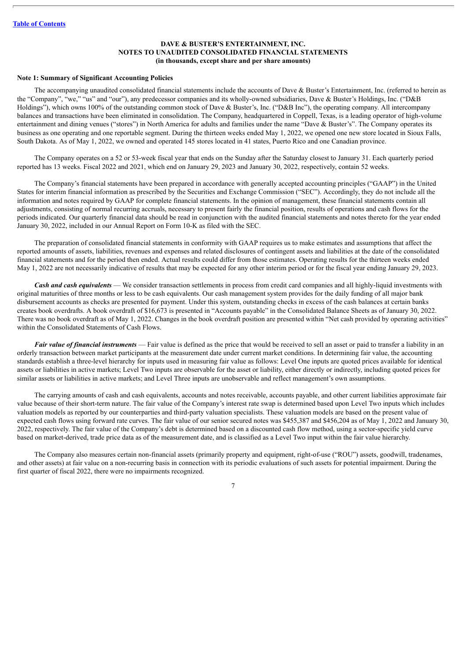#### **DAVE & BUSTER'S ENTERTAINMENT, INC. NOTES TO UNAUDITED CONSOLIDATED FINANCIAL STATEMENTS (in thousands, except share and per share amounts)**

#### **Note 1: Summary of Significant Accounting Policies**

The accompanying unaudited consolidated financial statements include the accounts of Dave & Buster's Entertainment, Inc. (referred to herein as the "Company", "we," "us" and "our"), any predecessor companies and its wholly-owned subsidiaries, Dave & Buster's Holdings, Inc. ("D&B Holdings"), which owns 100% of the outstanding common stock of Dave & Buster's, Inc. ("D&B Inc"), the operating company. All intercompany balances and transactions have been eliminated in consolidation. The Company, headquartered in Coppell, Texas, is a leading operator of high-volume entertainment and dining venues ("stores") in North America for adults and families under the name "Dave & Buster's". The Company operates its business as one operating and one reportable segment. During the thirteen weeks ended May 1, 2022, we opened one new store located in Sioux Falls, South Dakota. As of May 1, 2022, we owned and operated 145 stores located in 41 states, Puerto Rico and one Canadian province.

The Company operates on a 52 or 53-week fiscal year that ends on the Sunday after the Saturday closest to January 31. Each quarterly period reported has 13 weeks. Fiscal 2022 and 2021, which end on January 29, 2023 and January 30, 2022, respectively, contain 52 weeks.

The Company's financial statements have been prepared in accordance with generally accepted accounting principles ("GAAP") in the United States for interim financial information as prescribed by the Securities and Exchange Commission ("SEC"). Accordingly, they do not include all the information and notes required by GAAP for complete financial statements. In the opinion of management, these financial statements contain all adjustments, consisting of normal recurring accruals, necessary to present fairly the financial position, results of operations and cash flows for the periods indicated. Our quarterly financial data should be read in conjunction with the audited financial statements and notes thereto for the year ended January 30, 2022, included in our Annual Report on Form 10-K as filed with the SEC.

The preparation of consolidated financial statements in conformity with GAAP requires us to make estimates and assumptions that affect the reported amounts of assets, liabilities, revenues and expenses and related disclosures of contingent assets and liabilities at the date of the consolidated financial statements and for the period then ended. Actual results could differ from those estimates. Operating results for the thirteen weeks ended May 1, 2022 are not necessarily indicative of results that may be expected for any other interim period or for the fiscal year ending January 29, 2023.

*Cash and cash equivalents* — We consider transaction settlements in process from credit card companies and all highly-liquid investments with original maturities of three months or less to be cash equivalents. Our cash management system provides for the daily funding of all major bank disbursement accounts as checks are presented for payment. Under this system, outstanding checks in excess of the cash balances at certain banks creates book overdrafts. A book overdraft of \$16,673 is presented in "Accounts payable" in the Consolidated Balance Sheets as of January 30, 2022. There was no book overdraft as of May 1, 2022. Changes in the book overdraft position are presented within "Net cash provided by operating activities" within the Consolidated Statements of Cash Flows.

*Fair value of financial instruments* — Fair value is defined as the price that would be received to sell an asset or paid to transfer a liability in an orderly transaction between market participants at the measurement date under current market conditions. In determining fair value, the accounting standards establish a three-level hierarchy for inputs used in measuring fair value as follows: Level One inputs are quoted prices available for identical assets or liabilities in active markets; Level Two inputs are observable for the asset or liability, either directly or indirectly, including quoted prices for similar assets or liabilities in active markets; and Level Three inputs are unobservable and reflect management's own assumptions.

The carrying amounts of cash and cash equivalents, accounts and notes receivable, accounts payable, and other current liabilities approximate fair value because of their short-term nature. The fair value of the Company's interest rate swap is determined based upon Level Two inputs which includes valuation models as reported by our counterparties and third-party valuation specialists. These valuation models are based on the present value of expected cash flows using forward rate curves. The fair value of our senior secured notes was \$455,387 and \$456,204 as of May 1, 2022 and January 30, 2022, respectively. The fair value of the Company's debt is determined based on a discounted cash flow method, using a sector-specific yield curve based on market-derived, trade price data as of the measurement date, and is classified as a Level Two input within the fair value hierarchy.

The Company also measures certain non-financial assets (primarily property and equipment, right-of-use ("ROU") assets, goodwill, tradenames, and other assets) at fair value on a non-recurring basis in connection with its periodic evaluations of such assets for potential impairment. During the first quarter of fiscal 2022, there were no impairments recognized.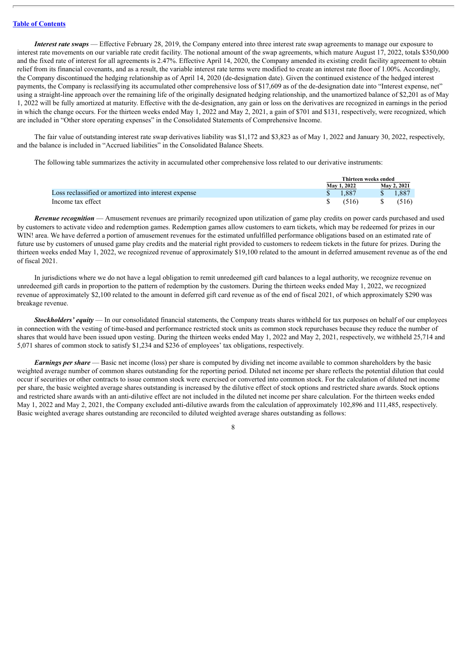*Interest rate swaps* — Effective February 28, 2019, the Company entered into three interest rate swap agreements to manage our exposure to interest rate movements on our variable rate credit facility. The notional amount of the swap agreements, which mature August 17, 2022, totals \$350,000 and the fixed rate of interest for all agreements is 2.47%. Effective April 14, 2020, the Company amended its existing credit facility agreement to obtain relief from its financial covenants, and as a result, the variable interest rate terms were modified to create an interest rate floor of 1.00%. Accordingly, the Company discontinued the hedging relationship as of April 14, 2020 (de-designation date). Given the continued existence of the hedged interest payments, the Company is reclassifying its accumulated other comprehensive loss of \$17,609 as of the de-designation date into "Interest expense, net" using a straight-line approach over the remaining life of the originally designated hedging relationship, and the unamortized balance of \$2,201 as of May 1, 2022 will be fully amortized at maturity. Effective with the de-designation, any gain or loss on the derivatives are recognized in earnings in the period in which the change occurs. For the thirteen weeks ended May 1, 2022 and May 2, 2021, a gain of \$701 and \$131, respectively, were recognized, which are included in "Other store operating expenses" in the Consolidated Statements of Comprehensive Income.

The fair value of outstanding interest rate swap derivatives liability was \$1,172 and \$3,823 as of May 1, 2022 and January 30, 2022, respectively, and the balance is included in "Accrued liabilities" in the Consolidated Balance Sheets.

The following table summarizes the activity in accumulated other comprehensive loss related to our derivative instruments:

|                                                      |         | Thirteen weeks ended |                 |             |
|------------------------------------------------------|---------|----------------------|-----------------|-------------|
|                                                      |         | May 1, 2022          |                 | May 2, 2021 |
| Loss reclassified or amortized into interest expense | \$1.887 |                      | $\sim$ s $\sim$ | 1.887       |
| Income tax effect                                    |         | (516)                | $^{\circ}$ S    | (516)       |

*Revenue recognition* — Amusement revenues are primarily recognized upon utilization of game play credits on power cards purchased and used by customers to activate video and redemption games. Redemption games allow customers to earn tickets, which may be redeemed for prizes in our WIN! area. We have deferred a portion of amusement revenues for the estimated unfulfilled performance obligations based on an estimated rate of future use by customers of unused game play credits and the material right provided to customers to redeem tickets in the future for prizes. During the thirteen weeks ended May 1, 2022, we recognized revenue of approximately \$19,100 related to the amount in deferred amusement revenue as of the end of fiscal 2021.

In jurisdictions where we do not have a legal obligation to remit unredeemed gift card balances to a legal authority, we recognize revenue on unredeemed gift cards in proportion to the pattern of redemption by the customers. During the thirteen weeks ended May 1, 2022, we recognized revenue of approximately \$2,100 related to the amount in deferred gift card revenue as of the end of fiscal 2021, of which approximately \$290 was breakage revenue.

*Stockholders' equity* — In our consolidated financial statements, the Company treats shares withheld for tax purposes on behalf of our employees in connection with the vesting of time-based and performance restricted stock units as common stock repurchases because they reduce the number of shares that would have been issued upon vesting. During the thirteen weeks ended May 1, 2022 and May 2, 2021, respectively, we withheld 25,714 and 5,071 shares of common stock to satisfy \$1,234 and \$236 of employees' tax obligations, respectively.

*Earnings per share* — Basic net income (loss) per share is computed by dividing net income available to common shareholders by the basic weighted average number of common shares outstanding for the reporting period. Diluted net income per share reflects the potential dilution that could occur if securities or other contracts to issue common stock were exercised or converted into common stock. For the calculation of diluted net income per share, the basic weighted average shares outstanding is increased by the dilutive effect of stock options and restricted share awards. Stock options and restricted share awards with an anti-dilutive effect are not included in the diluted net income per share calculation. For the thirteen weeks ended May 1, 2022 and May 2, 2021, the Company excluded anti-dilutive awards from the calculation of approximately 102,896 and 111,485, respectively. Basic weighted average shares outstanding are reconciled to diluted weighted average shares outstanding as follows:

 $\overline{Q}$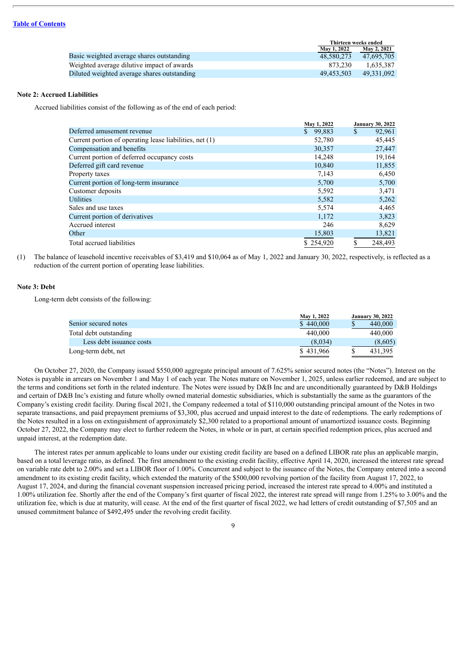|                                             | Thirteen weeks ended |                    |
|---------------------------------------------|----------------------|--------------------|
|                                             | <b>May 1, 2022</b>   | <b>May 2, 2021</b> |
| Basic weighted average shares outstanding   | 48.580.273           | 47.695.705         |
| Weighted average dilutive impact of awards  | 873.230              | 1.635.387          |
| Diluted weighted average shares outstanding | 49.453.503           | 49.331.092         |

#### **Note 2: Accrued Liabilities**

Accrued liabilities consist of the following as of the end of each period:

|                                                         | May 1, 2022  | <b>January 30, 2022</b> |
|---------------------------------------------------------|--------------|-------------------------|
| Deferred amusement revenue                              | \$<br>99,883 | \$<br>92,961            |
| Current portion of operating lease liabilities, net (1) | 52,780       | 45,445                  |
| Compensation and benefits                               | 30,357       | 27,447                  |
| Current portion of deferred occupancy costs             | 14.248       | 19,164                  |
| Deferred gift card revenue                              | 10,840       | 11,855                  |
| Property taxes                                          | 7,143        | 6,450                   |
| Current portion of long-term insurance                  | 5,700        | 5,700                   |
| Customer deposits                                       | 5,592        | 3,471                   |
| <b>Utilities</b>                                        | 5,582        | 5,262                   |
| Sales and use taxes                                     | 5,574        | 4,465                   |
| Current portion of derivatives                          | 1,172        | 3,823                   |
| Accrued interest                                        | 246          | 8,629                   |
| Other                                                   | 15,803       | 13,821                  |
| Total accrued liabilities                               | \$254,920    | \$<br>248,493           |

(1) The balance of leasehold incentive receivables of \$3,419 and \$10,064 as of May 1, 2022 and January 30, 2022, respectively, is reflected as a reduction of the current portion of operating lease liabilities.

#### **Note 3: Debt**

Long-term debt consists of the following:

|                          | May 1, 2022 | <b>January 30, 2022</b> |
|--------------------------|-------------|-------------------------|
| Senior secured notes     | \$440,000   | 440,000                 |
| Total debt outstanding   | 440,000     | 440,000                 |
| Less debt issuance costs | (8,034)     | (8,605)                 |
| Long-term debt, net      | \$431,966   | 431.395                 |

On October 27, 2020, the Company issued \$550,000 aggregate principal amount of 7.625% senior secured notes (the "Notes"). Interest on the Notes is payable in arrears on November 1 and May 1 of each year. The Notes mature on November 1, 2025, unless earlier redeemed, and are subject to the terms and conditions set forth in the related indenture. The Notes were issued by D&B Inc and are unconditionally guaranteed by D&B Holdings and certain of D&B Inc's existing and future wholly owned material domestic subsidiaries, which is substantially the same as the guarantors of the Company's existing credit facility. During fiscal 2021, the Company redeemed a total of \$110,000 outstanding principal amount of the Notes in two separate transactions, and paid prepayment premiums of \$3,300, plus accrued and unpaid interest to the date of redemptions. The early redemptions of the Notes resulted in a loss on extinguishment of approximately \$2,300 related to a proportional amount of unamortized issuance costs. Beginning October 27, 2022, the Company may elect to further redeem the Notes, in whole or in part, at certain specified redemption prices, plus accrued and unpaid interest, at the redemption date.

The interest rates per annum applicable to loans under our existing credit facility are based on a defined LIBOR rate plus an applicable margin, based on a total leverage ratio, as defined. The first amendment to the existing credit facility, effective April 14, 2020, increased the interest rate spread on variable rate debt to 2.00% and set a LIBOR floor of 1.00%. Concurrent and subject to the issuance of the Notes, the Company entered into a second amendment to its existing credit facility, which extended the maturity of the \$500,000 revolving portion of the facility from August 17, 2022, to August 17, 2024, and during the financial covenant suspension increased pricing period, increased the interest rate spread to 4.00% and instituted a 1.00% utilization fee. Shortly after the end of the Company's first quarter of fiscal 2022, the interest rate spread will range from 1.25% to 3.00% and the utilization fee, which is due at maturity, will cease. At the end of the first quarter of fiscal 2022, we had letters of credit outstanding of \$7,505 and an unused commitment balance of \$492,495 under the revolving credit facility.

 $\overline{Q}$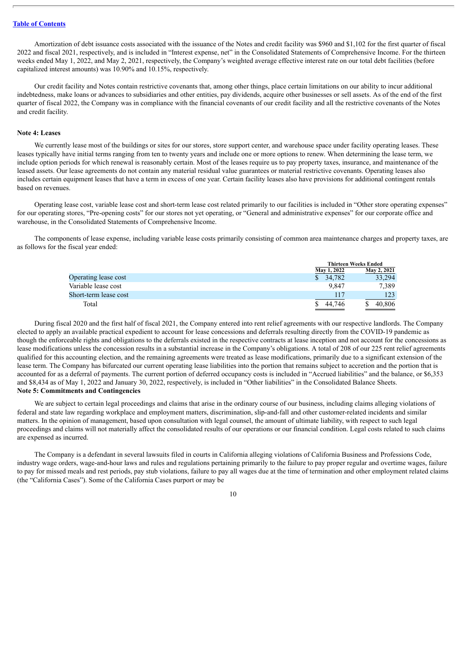Amortization of debt issuance costs associated with the issuance of the Notes and credit facility was \$960 and \$1,102 for the first quarter of fiscal 2022 and fiscal 2021, respectively, and is included in "Interest expense, net" in the Consolidated Statements of Comprehensive Income. For the thirteen weeks ended May 1, 2022, and May 2, 2021, respectively, the Company's weighted average effective interest rate on our total debt facilities (before capitalized interest amounts) was 10.90% and 10.15%, respectively.

Our credit facility and Notes contain restrictive covenants that, among other things, place certain limitations on our ability to incur additional indebtedness, make loans or advances to subsidiaries and other entities, pay dividends, acquire other businesses or sell assets. As of the end of the first quarter of fiscal 2022, the Company was in compliance with the financial covenants of our credit facility and all the restrictive covenants of the Notes and credit facility.

#### **Note 4: Leases**

We currently lease most of the buildings or sites for our stores, store support center, and warehouse space under facility operating leases. These leases typically have initial terms ranging from ten to twenty years and include one or more options to renew. When determining the lease term, we include option periods for which renewal is reasonably certain. Most of the leases require us to pay property taxes, insurance, and maintenance of the leased assets. Our lease agreements do not contain any material residual value guarantees or material restrictive covenants. Operating leases also includes certain equipment leases that have a term in excess of one year. Certain facility leases also have provisions for additional contingent rentals based on revenues.

Operating lease cost, variable lease cost and short-term lease cost related primarily to our facilities is included in "Other store operating expenses" for our operating stores, "Pre-opening costs" for our stores not yet operating, or "General and administrative expenses" for our corporate office and warehouse, in the Consolidated Statements of Comprehensive Income.

The components of lease expense, including variable lease costs primarily consisting of common area maintenance charges and property taxes, are as follows for the fiscal year ended:

|                       |             | <b>Thirteen Weeks Ended</b> |  |  |
|-----------------------|-------------|-----------------------------|--|--|
|                       | May 1, 2022 | May 2, 2021                 |  |  |
| Operating lease cost  | 34,782      | 33,294                      |  |  |
| Variable lease cost   | 9.847       | 7.389                       |  |  |
| Short-term lease cost | 417         | 123                         |  |  |
| Total                 | 44.746      | 40.806                      |  |  |

During fiscal 2020 and the first half of fiscal 2021, the Company entered into rent relief agreements with our respective landlords. The Company elected to apply an available practical expedient to account for lease concessions and deferrals resulting directly from the COVID-19 pandemic as though the enforceable rights and obligations to the deferrals existed in the respective contracts at lease inception and not account for the concessions as lease modifications unless the concession results in a substantial increase in the Company's obligations. A total of 208 of our 225 rent relief agreements qualified for this accounting election, and the remaining agreements were treated as lease modifications, primarily due to a significant extension of the lease term. The Company has bifurcated our current operating lease liabilities into the portion that remains subject to accretion and the portion that is accounted for as a deferral of payments. The current portion of deferred occupancy costs is included in "Accrued liabilities" and the balance, or \$6,353 and \$8,434 as of May 1, 2022 and January 30, 2022, respectively, is included in "Other liabilities" in the Consolidated Balance Sheets. **Note 5: Commitments and Contingencies**

We are subject to certain legal proceedings and claims that arise in the ordinary course of our business, including claims alleging violations of federal and state law regarding workplace and employment matters, discrimination, slip-and-fall and other customer-related incidents and similar matters. In the opinion of management, based upon consultation with legal counsel, the amount of ultimate liability, with respect to such legal proceedings and claims will not materially affect the consolidated results of our operations or our financial condition. Legal costs related to such claims are expensed as incurred.

The Company is a defendant in several lawsuits filed in courts in California alleging violations of California Business and Professions Code, industry wage orders, wage-and-hour laws and rules and regulations pertaining primarily to the failure to pay proper regular and overtime wages, failure to pay for missed meals and rest periods, pay stub violations, failure to pay all wages due at the time of termination and other employment related claims (the "California Cases"). Some of the California Cases purport or may be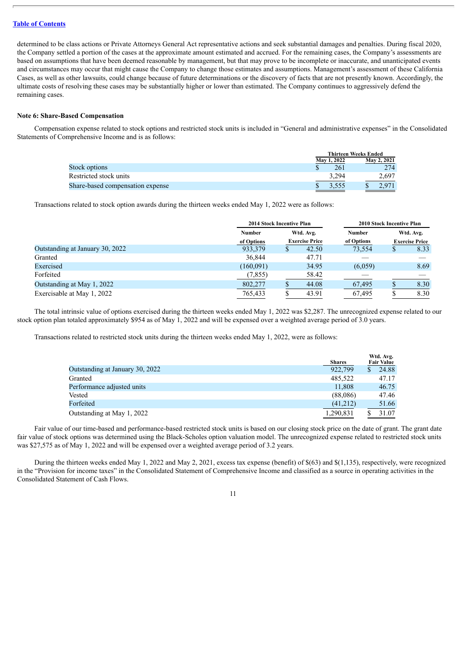determined to be class actions or Private Attorneys General Act representative actions and seek substantial damages and penalties. During fiscal 2020, the Company settled a portion of the cases at the approximate amount estimated and accrued. For the remaining cases, the Company's assessments are based on assumptions that have been deemed reasonable by management, but that may prove to be incomplete or inaccurate, and unanticipated events and circumstances may occur that might cause the Company to change those estimates and assumptions. Management's assessment of these California Cases, as well as other lawsuits, could change because of future determinations or the discovery of facts that are not presently known. Accordingly, the ultimate costs of resolving these cases may be substantially higher or lower than estimated. The Company continues to aggressively defend the remaining cases.

#### **Note 6: Share-Based Compensation**

Compensation expense related to stock options and restricted stock units is included in "General and administrative expenses" in the Consolidated Statements of Comprehensive Income and is as follows:

|                                  |                    | <b>Thirteen Weeks Ended</b> |
|----------------------------------|--------------------|-----------------------------|
|                                  | <b>May 1, 2022</b> | <b>May 2, 2021</b>          |
| Stock options                    | 261                | 274                         |
| Restricted stock units           | 3,294              | 2.697                       |
| Share-based compensation expense | 3.555              | 97 <sup>°</sup>             |

Transactions related to stock option awards during the thirteen weeks ended May 1, 2022 were as follows:

|                                 |               | <b>2014 Stock Incentive Plan</b> |                       |               | <b>2010 Stock Incentive Plan</b> |                       |           |  |
|---------------------------------|---------------|----------------------------------|-----------------------|---------------|----------------------------------|-----------------------|-----------|--|
|                                 | <b>Number</b> | Wtd. Avg.                        |                       | <b>Number</b> |                                  |                       | Wtd. Avg. |  |
|                                 | of Options    |                                  | <b>Exercise Price</b> | of Options    |                                  | <b>Exercise Price</b> |           |  |
| Outstanding at January 30, 2022 | 933,379       | ъ                                | 42.50                 | 73,554        | D                                | 8.33                  |           |  |
| Granted                         | 36,844        |                                  | 47.71                 |               |                                  |                       |           |  |
| Exercised                       | (160,091)     |                                  | 34.95                 | (6,059)       |                                  | 8.69                  |           |  |
| Forfeited                       | (7, 855)      |                                  | 58.42                 |               |                                  |                       |           |  |
| Outstanding at May 1, 2022      | 802,277       |                                  | 44.08                 | 67,495        |                                  | 8.30                  |           |  |
| Exercisable at May 1, 2022      | 765,433       |                                  | 43.91                 | 67,495        |                                  | 8.30                  |           |  |

The total intrinsic value of options exercised during the thirteen weeks ended May 1, 2022 was \$2,287. The unrecognized expense related to our stock option plan totaled approximately \$954 as of May 1, 2022 and will be expensed over a weighted average period of 3.0 years.

Transactions related to restricted stock units during the thirteen weeks ended May 1, 2022, were as follows:

|                                 | <b>Shares</b> | Wtd. Avg.<br><b>Fair Value</b> |
|---------------------------------|---------------|--------------------------------|
| Outstanding at January 30, 2022 | 922,799       | 24.88                          |
| Granted                         | 485,522       | 47.17                          |
| Performance adjusted units      | 11.808        | 46.75                          |
| Vested                          | (88,086)      | 47.46                          |
| Forfeited                       | (41,212)      | 51.66                          |
| Outstanding at May 1, 2022      | 1,290,831     | 31.07                          |

Fair value of our time-based and performance-based restricted stock units is based on our closing stock price on the date of grant. The grant date fair value of stock options was determined using the Black-Scholes option valuation model. The unrecognized expense related to restricted stock units was \$27,575 as of May 1, 2022 and will be expensed over a weighted average period of 3.2 years.

During the thirteen weeks ended May 1, 2022 and May 2, 2021, excess tax expense (benefit) of \$(63) and \$(1,135), respectively, were recognized in the "Provision for income taxes" in the Consolidated Statement of Comprehensive Income and classified as a source in operating activities in the Consolidated Statement of Cash Flows.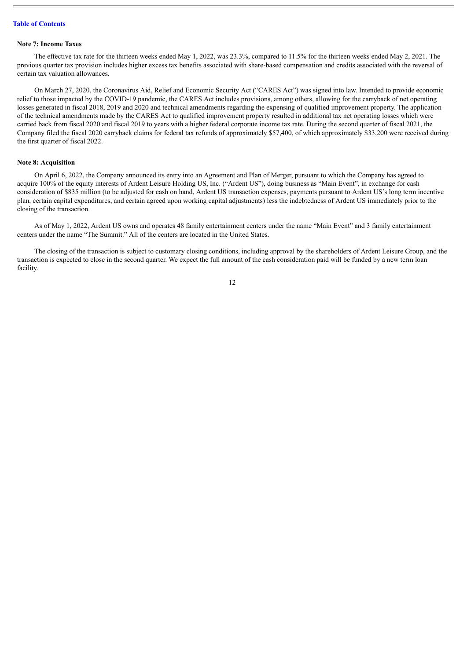#### **Note 7: Income Taxes**

The effective tax rate for the thirteen weeks ended May 1, 2022, was 23.3%, compared to 11.5% for the thirteen weeks ended May 2, 2021. The previous quarter tax provision includes higher excess tax benefits associated with share-based compensation and credits associated with the reversal of certain tax valuation allowances.

On March 27, 2020, the Coronavirus Aid, Relief and Economic Security Act ("CARES Act") was signed into law. Intended to provide economic relief to those impacted by the COVID-19 pandemic, the CARES Act includes provisions, among others, allowing for the carryback of net operating losses generated in fiscal 2018, 2019 and 2020 and technical amendments regarding the expensing of qualified improvement property. The application of the technical amendments made by the CARES Act to qualified improvement property resulted in additional tax net operating losses which were carried back from fiscal 2020 and fiscal 2019 to years with a higher federal corporate income tax rate. During the second quarter of fiscal 2021, the Company filed the fiscal 2020 carryback claims for federal tax refunds of approximately \$57,400, of which approximately \$33,200 were received during the first quarter of fiscal 2022.

#### **Note 8: Acquisition**

On April 6, 2022, the Company announced its entry into an Agreement and Plan of Merger, pursuant to which the Company has agreed to acquire 100% of the equity interests of Ardent Leisure Holding US, Inc. ("Ardent US"), doing business as "Main Event", in exchange for cash consideration of \$835 million (to be adjusted for cash on hand, Ardent US transaction expenses, payments pursuant to Ardent US's long term incentive plan, certain capital expenditures, and certain agreed upon working capital adjustments) less the indebtedness of Ardent US immediately prior to the closing of the transaction.

As of May 1, 2022, Ardent US owns and operates 48 family entertainment centers under the name "Main Event" and 3 family entertainment centers under the name "The Summit." All of the centers are located in the United States.

The closing of the transaction is subject to customary closing conditions, including approval by the shareholders of Ardent Leisure Group, and the transaction is expected to close in the second quarter. We expect the full amount of the cash consideration paid will be funded by a new term loan facility.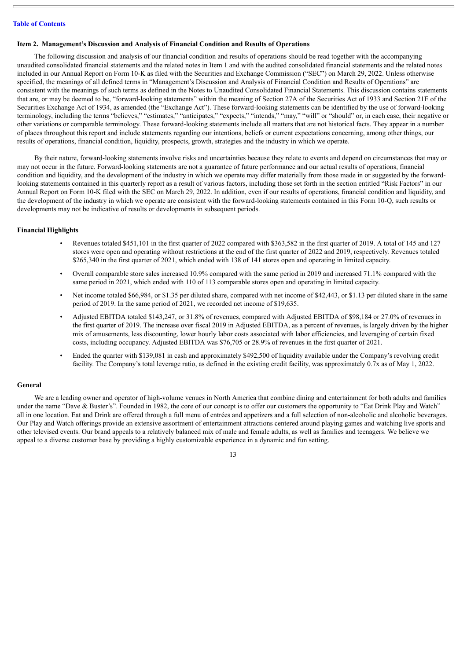#### <span id="page-12-0"></span>**Item 2. Management's Discussion and Analysis of Financial Condition and Results of Operations**

The following discussion and analysis of our financial condition and results of operations should be read together with the accompanying unaudited consolidated financial statements and the related notes in Item 1 and with the audited consolidated financial statements and the related notes included in our Annual Report on Form 10-K as filed with the Securities and Exchange Commission ("SEC") on March 29, 2022. Unless otherwise specified, the meanings of all defined terms in "Management's Discussion and Analysis of Financial Condition and Results of Operations" are consistent with the meanings of such terms as defined in the Notes to Unaudited Consolidated Financial Statements. This discussion contains statements that are, or may be deemed to be, "forward-looking statements" within the meaning of Section 27A of the Securities Act of 1933 and Section 21E of the Securities Exchange Act of 1934, as amended (the "Exchange Act"). These forward-looking statements can be identified by the use of forward-looking terminology, including the terms "believes," "estimates," "anticipates," "expects," "intends," "may," "will" or "should" or, in each case, their negative or other variations or comparable terminology. These forward-looking statements include all matters that are not historical facts. They appear in a number of places throughout this report and include statements regarding our intentions, beliefs or current expectations concerning, among other things, our results of operations, financial condition, liquidity, prospects, growth, strategies and the industry in which we operate.

By their nature, forward-looking statements involve risks and uncertainties because they relate to events and depend on circumstances that may or may not occur in the future. Forward-looking statements are not a guarantee of future performance and our actual results of operations, financial condition and liquidity, and the development of the industry in which we operate may differ materially from those made in or suggested by the forwardlooking statements contained in this quarterly report as a result of various factors, including those set forth in the section entitled "Risk Factors" in our Annual Report on Form 10-K filed with the SEC on March 29, 2022. In addition, even if our results of operations, financial condition and liquidity, and the development of the industry in which we operate are consistent with the forward-looking statements contained in this Form 10-Q, such results or developments may not be indicative of results or developments in subsequent periods.

#### **Financial Highlights**

- Revenues totaled \$451,101 in the first quarter of 2022 compared with \$363,582 in the first quarter of 2019. A total of 145 and 127 stores were open and operating without restrictions at the end of the first quarter of 2022 and 2019, respectively. Revenues totaled \$265,340 in the first quarter of 2021, which ended with 138 of 141 stores open and operating in limited capacity.
- Overall comparable store sales increased 10.9% compared with the same period in 2019 and increased 71.1% compared with the same period in 2021, which ended with 110 of 113 comparable stores open and operating in limited capacity.
- Net income totaled \$66,984, or \$1.35 per diluted share, compared with net income of \$42,443, or \$1.13 per diluted share in the same period of 2019. In the same period of 2021, we recorded net income of \$19,635.
- Adjusted EBITDA totaled \$143,247, or 31.8% of revenues, compared with Adjusted EBITDA of \$98,184 or 27.0% of revenues in the first quarter of 2019. The increase over fiscal 2019 in Adjusted EBITDA, as a percent of revenues, is largely driven by the higher mix of amusements, less discounting, lower hourly labor costs associated with labor efficiencies, and leveraging of certain fixed costs, including occupancy. Adjusted EBITDA was \$76,705 or 28.9% of revenues in the first quarter of 2021.
- Ended the quarter with \$139,081 in cash and approximately \$492,500 of liquidity available under the Company's revolving credit facility. The Company's total leverage ratio, as defined in the existing credit facility, was approximately 0.7x as of May 1, 2022.

#### **General**

We are a leading owner and operator of high-volume venues in North America that combine dining and entertainment for both adults and families under the name "Dave & Buster's". Founded in 1982, the core of our concept is to offer our customers the opportunity to "Eat Drink Play and Watch" all in one location. Eat and Drink are offered through a full menu of entrées and appetizers and a full selection of non-alcoholic and alcoholic beverages. Our Play and Watch offerings provide an extensive assortment of entertainment attractions centered around playing games and watching live sports and other televised events. Our brand appeals to a relatively balanced mix of male and female adults, as well as families and teenagers. We believe we appeal to a diverse customer base by providing a highly customizable experience in a dynamic and fun setting.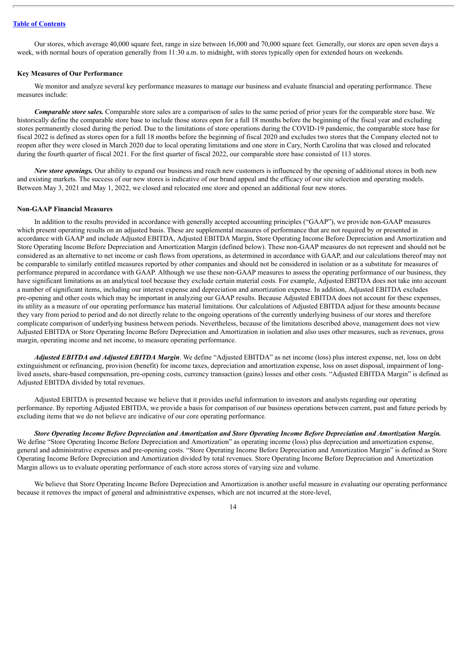Our stores, which average 40,000 square feet, range in size between 16,000 and 70,000 square feet. Generally, our stores are open seven days a week, with normal hours of operation generally from 11:30 a.m. to midnight, with stores typically open for extended hours on weekends.

#### **Key Measures of Our Performance**

We monitor and analyze several key performance measures to manage our business and evaluate financial and operating performance. These measures include:

*Comparable store sales.* Comparable store sales are a comparison of sales to the same period of prior years for the comparable store base. We historically define the comparable store base to include those stores open for a full 18 months before the beginning of the fiscal year and excluding stores permanently closed during the period. Due to the limitations of store operations during the COVID-19 pandemic, the comparable store base for fiscal 2022 is defined as stores open for a full 18 months before the beginning of fiscal 2020 and excludes two stores that the Company elected not to reopen after they were closed in March 2020 due to local operating limitations and one store in Cary, North Carolina that was closed and relocated during the fourth quarter of fiscal 2021. For the first quarter of fiscal 2022, our comparable store base consisted of 113 stores.

*New store openings.* Our ability to expand our business and reach new customers is influenced by the opening of additional stores in both new and existing markets. The success of our new stores is indicative of our brand appeal and the efficacy of our site selection and operating models. Between May 3, 2021 and May 1, 2022, we closed and relocated one store and opened an additional four new stores.

#### **Non-GAAP Financial Measures**

In addition to the results provided in accordance with generally accepted accounting principles ("GAAP"), we provide non-GAAP measures which present operating results on an adjusted basis. These are supplemental measures of performance that are not required by or presented in accordance with GAAP and include Adjusted EBITDA, Adjusted EBITDA Margin, Store Operating Income Before Depreciation and Amortization and Store Operating Income Before Depreciation and Amortization Margin (defined below). These non-GAAP measures do not represent and should not be considered as an alternative to net income or cash flows from operations, as determined in accordance with GAAP, and our calculations thereof may not be comparable to similarly entitled measures reported by other companies and should not be considered in isolation or as a substitute for measures of performance prepared in accordance with GAAP. Although we use these non-GAAP measures to assess the operating performance of our business, they have significant limitations as an analytical tool because they exclude certain material costs. For example, Adjusted EBITDA does not take into account a number of significant items, including our interest expense and depreciation and amortization expense. In addition, Adjusted EBITDA excludes pre-opening and other costs which may be important in analyzing our GAAP results. Because Adjusted EBITDA does not account for these expenses, its utility as a measure of our operating performance has material limitations. Our calculations of Adjusted EBITDA adjust for these amounts because they vary from period to period and do not directly relate to the ongoing operations of the currently underlying business of our stores and therefore complicate comparison of underlying business between periods. Nevertheless, because of the limitations described above, management does not view Adjusted EBITDA or Store Operating Income Before Depreciation and Amortization in isolation and also uses other measures, such as revenues, gross margin, operating income and net income, to measure operating performance.

*Adjusted EBITDA and Adjusted EBITDA Margin*. We define "Adjusted EBITDA" as net income (loss) plus interest expense, net, loss on debt extinguishment or refinancing, provision (benefit) for income taxes, depreciation and amortization expense, loss on asset disposal, impairment of longlived assets, share-based compensation, pre-opening costs, currency transaction (gains) losses and other costs. "Adjusted EBITDA Margin" is defined as Adjusted EBITDA divided by total revenues.

Adjusted EBITDA is presented because we believe that it provides useful information to investors and analysts regarding our operating performance. By reporting Adjusted EBITDA, we provide a basis for comparison of our business operations between current, past and future periods by excluding items that we do not believe are indicative of our core operating performance.

Store Operating Income Before Depreciation and Amortization and Store Operating Income Before Depreciation and Amortization Margin. We define "Store Operating Income Before Depreciation and Amortization" as operating income (loss) plus depreciation and amortization expense, general and administrative expenses and pre-opening costs. "Store Operating Income Before Depreciation and Amortization Margin" is defined as Store Operating Income Before Depreciation and Amortization divided by total revenues. Store Operating Income Before Depreciation and Amortization Margin allows us to evaluate operating performance of each store across stores of varying size and volume.

We believe that Store Operating Income Before Depreciation and Amortization is another useful measure in evaluating our operating performance because it removes the impact of general and administrative expenses, which are not incurred at the store-level,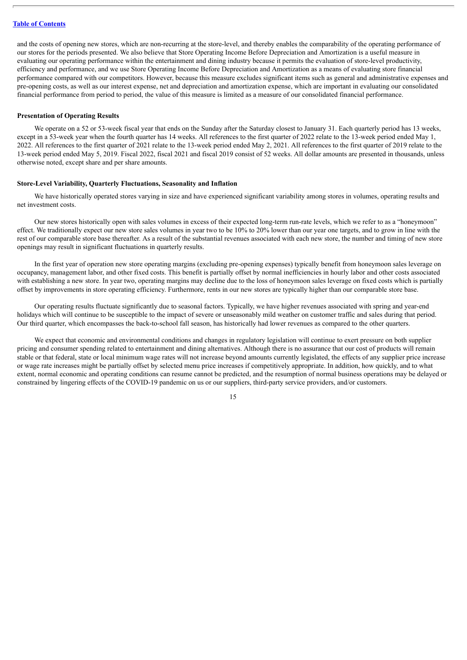and the costs of opening new stores, which are non-recurring at the store-level, and thereby enables the comparability of the operating performance of our stores for the periods presented. We also believe that Store Operating Income Before Depreciation and Amortization is a useful measure in evaluating our operating performance within the entertainment and dining industry because it permits the evaluation of store-level productivity, efficiency and performance, and we use Store Operating Income Before Depreciation and Amortization as a means of evaluating store financial performance compared with our competitors. However, because this measure excludes significant items such as general and administrative expenses and pre-opening costs, as well as our interest expense, net and depreciation and amortization expense, which are important in evaluating our consolidated financial performance from period to period, the value of this measure is limited as a measure of our consolidated financial performance.

#### **Presentation of Operating Results**

We operate on a 52 or 53-week fiscal year that ends on the Sunday after the Saturday closest to January 31. Each quarterly period has 13 weeks, except in a 53-week year when the fourth quarter has 14 weeks. All references to the first quarter of 2022 relate to the 13-week period ended May 1, 2022. All references to the first quarter of 2021 relate to the 13-week period ended May 2, 2021. All references to the first quarter of 2019 relate to the 13-week period ended May 5, 2019. Fiscal 2022, fiscal 2021 and fiscal 2019 consist of 52 weeks. All dollar amounts are presented in thousands, unless otherwise noted, except share and per share amounts.

### **Store-Level Variability, Quarterly Fluctuations, Seasonality and Inflation**

We have historically operated stores varying in size and have experienced significant variability among stores in volumes, operating results and net investment costs.

Our new stores historically open with sales volumes in excess of their expected long-term run-rate levels, which we refer to as a "honeymoon" effect. We traditionally expect our new store sales volumes in year two to be 10% to 20% lower than our year one targets, and to grow in line with the rest of our comparable store base thereafter. As a result of the substantial revenues associated with each new store, the number and timing of new store openings may result in significant fluctuations in quarterly results.

In the first year of operation new store operating margins (excluding pre-opening expenses) typically benefit from honeymoon sales leverage on occupancy, management labor, and other fixed costs. This benefit is partially offset by normal inefficiencies in hourly labor and other costs associated with establishing a new store. In year two, operating margins may decline due to the loss of honeymoon sales leverage on fixed costs which is partially offset by improvements in store operating efficiency. Furthermore, rents in our new stores are typically higher than our comparable store base.

Our operating results fluctuate significantly due to seasonal factors. Typically, we have higher revenues associated with spring and year-end holidays which will continue to be susceptible to the impact of severe or unseasonably mild weather on customer traffic and sales during that period. Our third quarter, which encompasses the back-to-school fall season, has historically had lower revenues as compared to the other quarters.

We expect that economic and environmental conditions and changes in regulatory legislation will continue to exert pressure on both supplier pricing and consumer spending related to entertainment and dining alternatives. Although there is no assurance that our cost of products will remain stable or that federal, state or local minimum wage rates will not increase beyond amounts currently legislated, the effects of any supplier price increase or wage rate increases might be partially offset by selected menu price increases if competitively appropriate. In addition, how quickly, and to what extent, normal economic and operating conditions can resume cannot be predicted, and the resumption of normal business operations may be delayed or constrained by lingering effects of the COVID-19 pandemic on us or our suppliers, third-party service providers, and/or customers.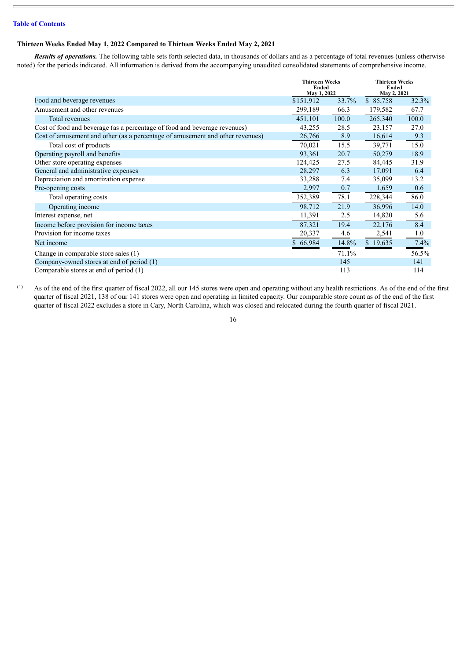#### **Thirteen Weeks Ended May 1, 2022 Compared to Thirteen Weeks Ended May 2, 2021**

*Results of operations.* The following table sets forth selected data, in thousands of dollars and as a percentage of total revenues (unless otherwise noted) for the periods indicated. All information is derived from the accompanying unaudited consolidated statements of comprehensive income.

|                                                                               | <b>Thirteen Weeks</b><br>Ended<br>May 1, 2022 |       | <b>Thirteen Weeks</b><br>Ended<br>May 2, 2021 |       |
|-------------------------------------------------------------------------------|-----------------------------------------------|-------|-----------------------------------------------|-------|
| Food and beverage revenues                                                    | \$151,912                                     | 33.7% | \$85,758                                      | 32.3% |
| Amusement and other revenues                                                  | 299,189                                       | 66.3  | 179,582                                       | 67.7  |
| Total revenues                                                                | 451,101                                       | 100.0 | 265,340                                       | 100.0 |
| Cost of food and beverage (as a percentage of food and beverage revenues)     | 43,255                                        | 28.5  | 23,157                                        | 27.0  |
| Cost of amusement and other (as a percentage of amusement and other revenues) | 26,766                                        | 8.9   | 16,614                                        | 9.3   |
| Total cost of products                                                        | 70,021                                        | 15.5  | 39,771                                        | 15.0  |
| Operating payroll and benefits                                                | 93,361                                        | 20.7  | 50,279                                        | 18.9  |
| Other store operating expenses                                                | 124,425                                       | 27.5  | 84,445                                        | 31.9  |
| General and administrative expenses                                           | 28,297                                        | 6.3   | 17,091                                        | 6.4   |
| Depreciation and amortization expense                                         | 33,288                                        | 7.4   | 35,099                                        | 13.2  |
| Pre-opening costs                                                             | 2,997                                         | 0.7   | 1,659                                         | 0.6   |
| Total operating costs                                                         | 352,389                                       | 78.1  | 228,344                                       | 86.0  |
| Operating income                                                              | 98,712                                        | 21.9  | 36,996                                        | 14.0  |
| Interest expense, net                                                         | 11,391                                        | 2.5   | 14,820                                        | 5.6   |
| Income before provision for income taxes                                      | 87,321                                        | 19.4  | 22,176                                        | 8.4   |
| Provision for income taxes                                                    | 20,337                                        | 4.6   | 2,541                                         | 1.0   |
| Net income                                                                    | \$66,984                                      | 14.8% | \$19,635                                      | 7.4%  |
| Change in comparable store sales (1)                                          |                                               | 71.1% |                                               | 56.5% |
| Company-owned stores at end of period (1)                                     |                                               | 145   |                                               | 141   |
| Comparable stores at end of period (1)                                        |                                               | 113   |                                               | 114   |

(1) As of the end of the first quarter of fiscal 2022, all our 145 stores were open and operating without any health restrictions. As of the end of the first quarter of fiscal 2021, 138 of our 141 stores were open and operating in limited capacity. Our comparable store count as of the end of the first quarter of fiscal 2022 excludes a store in Cary, North Carolina, which was closed and relocated during the fourth quarter of fiscal 2021.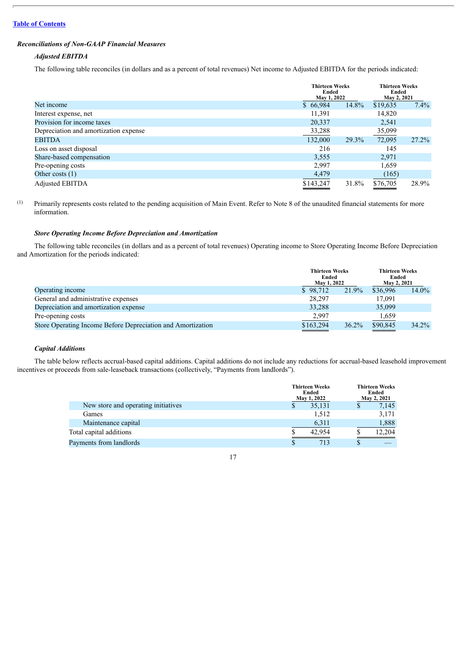### *Reconciliations of Non-GAAP Financial Measures*

### *Adjusted EBITDA*

The following table reconciles (in dollars and as a percent of total revenues) Net income to Adjusted EBITDA for the periods indicated:

|                                       | <b>Thirteen Weeks</b><br>Ended<br>May 1, 2022 |       | <b>Thirteen Weeks</b><br>Ended<br>May 2, 2021 |          |
|---------------------------------------|-----------------------------------------------|-------|-----------------------------------------------|----------|
| Net income                            | \$66,984                                      | 14.8% | \$19,635                                      | 7.4%     |
| Interest expense, net                 | 11,391                                        |       | 14,820                                        |          |
| Provision for income taxes            | 20,337                                        |       | 2,541                                         |          |
| Depreciation and amortization expense | 33,288                                        |       | 35,099                                        |          |
| <b>EBITDA</b>                         | 132,000                                       | 29.3% | 72,095                                        | $27.2\%$ |
| Loss on asset disposal                | 216                                           |       | 145                                           |          |
| Share-based compensation              | 3,555                                         |       | 2,971                                         |          |
| Pre-opening costs                     | 2,997                                         |       | 1,659                                         |          |
| Other costs $(1)$                     | 4,479                                         |       | (165)                                         |          |
| Adjusted EBITDA                       | \$143,247                                     | 31.8% | \$76,705                                      | 28.9%    |

(1) Primarily represents costs related to the pending acquisition of Main Event. Refer to Note 8 of the unaudited financial statements for more information.

### *Store Operating Income Before Depreciation and Amortization*

The following table reconciles (in dollars and as a percent of total revenues) Operating income to Store Operating Income Before Depreciation and Amortization for the periods indicated:

|                                                             |           | <b>Thirteen Weeks</b><br>Ended<br>May 1, 2022 |          | <b>Thirteen Weeks</b><br>Ended<br>May 2, 2021 |  |
|-------------------------------------------------------------|-----------|-----------------------------------------------|----------|-----------------------------------------------|--|
| Operating income                                            | \$98,712  | 21.9%                                         | \$36,996 | $14.0\%$                                      |  |
| General and administrative expenses                         | 28,297    |                                               | 17.091   |                                               |  |
| Depreciation and amortization expense                       | 33,288    |                                               | 35,099   |                                               |  |
| Pre-opening costs                                           | 2,997     |                                               | 1,659    |                                               |  |
| Store Operating Income Before Depreciation and Amortization | \$163,294 | 36.2%                                         | \$90,845 | 34.2%                                         |  |

### *Capital Additions*

The table below reflects accrual-based capital additions. Capital additions do not include any reductions for accrual-based leasehold improvement incentives or proceeds from sale-leaseback transactions (collectively, "Payments from landlords").

|                                     | <b>Thirteen Weeks</b><br>Ended<br>May 1, 2022 | <b>Thirteen Weeks</b><br>Ended<br>May 2, 2021 |  |  |
|-------------------------------------|-----------------------------------------------|-----------------------------------------------|--|--|
| New store and operating initiatives | 35,131                                        | 7,145<br>\$                                   |  |  |
| Games                               | 1,512                                         | 3,171                                         |  |  |
| Maintenance capital                 | 6,311                                         | 1,888                                         |  |  |
| Total capital additions             | 42.954                                        | 12.204                                        |  |  |
| Payments from landlords             | 713                                           |                                               |  |  |

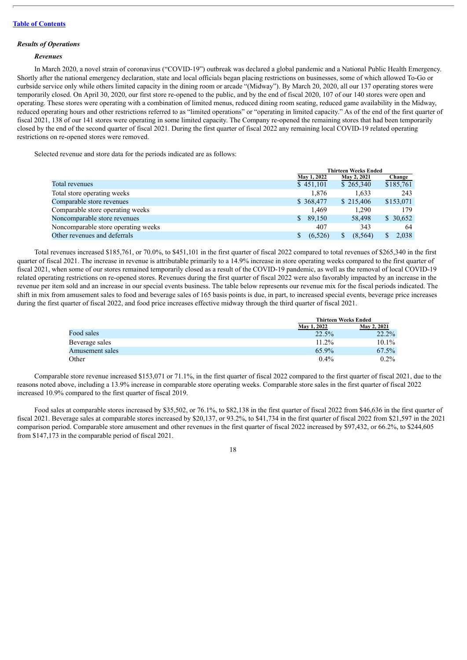#### *Results of Operations*

#### *Revenues*

In March 2020, a novel strain of coronavirus ("COVID-19") outbreak was declared a global pandemic and a National Public Health Emergency. Shortly after the national emergency declaration, state and local officials began placing restrictions on businesses, some of which allowed To-Go or curbside service only while others limited capacity in the dining room or arcade "(Midway"). By March 20, 2020, all our 137 operating stores were temporarily closed. On April 30, 2020, our first store re-opened to the public, and by the end of fiscal 2020, 107 of our 140 stores were open and operating. These stores were operating with a combination of limited menus, reduced dining room seating, reduced game availability in the Midway, reduced operating hours and other restrictions referred to as "limited operations" or "operating in limited capacity." As of the end of the first quarter of fiscal 2021, 138 of our 141 stores were operating in some limited capacity. The Company re-opened the remaining stores that had been temporarily closed by the end of the second quarter of fiscal 2021. During the first quarter of fiscal 2022 any remaining local COVID-19 related operating restrictions on re-opened stores were removed.

Selected revenue and store data for the periods indicated are as follows:

|                                     |    | <b>Thirteen Weeks Ended</b> |                |  |           |
|-------------------------------------|----|-----------------------------|----------------|--|-----------|
|                                     |    | May 1, 2022                 | May 2, 2021    |  | Change    |
| Total revenues                      |    | \$451,101                   | \$265,340      |  | \$185,761 |
| Total store operating weeks         |    | 1,876                       | 1,633          |  | 243       |
| Comparable store revenues           |    | \$ 368,477                  | \$215,406      |  | \$153,071 |
| Comparable store operating weeks    |    | 1.469                       | 1,290          |  | 179       |
| Noncomparable store revenues        | S. | 89,150                      | 58,498         |  | \$30,652  |
| Noncomparable store operating weeks |    | 407                         | 343            |  | 64        |
| Other revenues and deferrals        |    | (6, 526)                    | S.<br>(8, 564) |  | 2,038     |

Total revenues increased \$185,761, or 70.0%, to \$451,101 in the first quarter of fiscal 2022 compared to total revenues of \$265,340 in the first quarter of fiscal 2021. The increase in revenue is attributable primarily to a 14.9% increase in store operating weeks compared to the first quarter of fiscal 2021, when some of our stores remained temporarily closed as a result of the COVID-19 pandemic, as well as the removal of local COVID-19 related operating restrictions on re-opened stores. Revenues during the first quarter of fiscal 2022 were also favorably impacted by an increase in the revenue per item sold and an increase in our special events business. The table below represents our revenue mix for the fiscal periods indicated. The shift in mix from amusement sales to food and beverage sales of 165 basis points is due, in part, to increased special events, beverage price increases during the first quarter of fiscal 2022, and food price increases effective midway through the third quarter of fiscal 2021.

|                 | Thirteen Weeks Ended |             |
|-----------------|----------------------|-------------|
|                 | May 1, 2022          | May 2, 2021 |
| Food sales      | 22.5%                | $22.2\%$    |
| Beverage sales  | 11.2%                | $10.1\%$    |
| Amusement sales | $65.9\%$             | 67.5%       |
| Other           | $0.4\%$              | $0.2\%$     |

Comparable store revenue increased \$153,071 or 71.1%, in the first quarter of fiscal 2022 compared to the first quarter of fiscal 2021, due to the reasons noted above, including a 13.9% increase in comparable store operating weeks. Comparable store sales in the first quarter of fiscal 2022 increased 10.9% compared to the first quarter of fiscal 2019.

Food sales at comparable stores increased by \$35,502, or 76.1%, to \$82,138 in the first quarter of fiscal 2022 from \$46,636 in the first quarter of fiscal 2021. Beverage sales at comparable stores increased by \$20,137, or 93.2%, to \$41,734 in the first quarter of fiscal 2022 from \$21,597 in the 2021 comparison period. Comparable store amusement and other revenues in the first quarter of fiscal 2022 increased by \$97,432, or 66.2%, to \$244,605 from \$147,173 in the comparable period of fiscal 2021.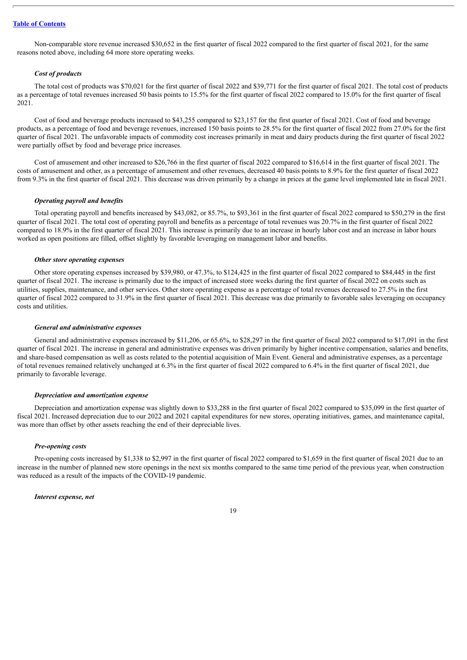Non-comparable store revenue increased \$30,652 in the first quarter of fiscal 2022 compared to the first quarter of fiscal 2021, for the same reasons noted above, including 64 more store operating weeks.

#### *Cost of products*

The total cost of products was \$70,021 for the first quarter of fiscal 2022 and \$39,771 for the first quarter of fiscal 2021. The total cost of products as a percentage of total revenues increased 50 basis points to 15.5% for the first quarter of fiscal 2022 compared to 15.0% for the first quarter of fiscal 2021.

Cost of food and beverage products increased to \$43,255 compared to \$23,157 for the first quarter of fiscal 2021. Cost of food and beverage products, as a percentage of food and beverage revenues, increased 150 basis points to 28.5% for the first quarter of fiscal 2022 from 27.0% for the first quarter of fiscal 2021. The unfavorable impacts of commodity cost increases primarily in meat and dairy products during the first quarter of fiscal 2022 were partially offset by food and beverage price increases.

Cost of amusement and other increased to \$26,766 in the first quarter of fiscal 2022 compared to \$16,614 in the first quarter of fiscal 2021. The costs of amusement and other, as a percentage of amusement and other revenues, decreased 40 basis points to 8.9% for the first quarter of fiscal 2022 from 9.3% in the first quarter of fiscal 2021. This decrease was driven primarily by a change in prices at the game level implemented late in fiscal 2021.

#### *Operating payroll and benefits*

Total operating payroll and benefits increased by \$43,082, or 85.7%, to \$93,361 in the first quarter of fiscal 2022 compared to \$50,279 in the first quarter of fiscal 2021. The total cost of operating payroll and benefits as a percentage of total revenues was 20.7% in the first quarter of fiscal 2022 compared to 18.9% in the first quarter of fiscal 2021. This increase is primarily due to an increase in hourly labor cost and an increase in labor hours worked as open positions are filled, offset slightly by favorable leveraging on management labor and benefits.

#### *Other store operating expenses*

Other store operating expenses increased by \$39,980, or 47.3%, to \$124,425 in the first quarter of fiscal 2022 compared to \$84,445 in the first quarter of fiscal 2021. The increase is primarily due to the impact of increased store weeks during the first quarter of fiscal 2022 on costs such as utilities, supplies, maintenance, and other services. Other store operating expense as a percentage of total revenues decreased to 27.5% in the first quarter of fiscal 2022 compared to 31.9% in the first quarter of fiscal 2021. This decrease was due primarily to favorable sales leveraging on occupancy costs and utilities.

#### *General and administrative expenses*

General and administrative expenses increased by \$11,206, or 65.6%, to \$28,297 in the first quarter of fiscal 2022 compared to \$17,091 in the first quarter of fiscal 2021. The increase in general and administrative expenses was driven primarily by higher incentive compensation, salaries and benefits, and share-based compensation as well as costs related to the potential acquisition of Main Event. General and administrative expenses, as a percentage of total revenues remained relatively unchanged at 6.3% in the first quarter of fiscal 2022 compared to 6.4% in the first quarter of fiscal 2021, due primarily to favorable leverage.

#### *Depreciation and amortization expense*

Depreciation and amortization expense was slightly down to \$33,288 in the first quarter of fiscal 2022 compared to \$35,099 in the first quarter of fiscal 2021. Increased depreciation due to our 2022 and 2021 capital expenditures for new stores, operating initiatives, games, and maintenance capital, was more than offset by other assets reaching the end of their depreciable lives.

#### *Pre-opening costs*

Pre-opening costs increased by \$1,338 to \$2,997 in the first quarter of fiscal 2022 compared to \$1,659 in the first quarter of fiscal 2021 due to an increase in the number of planned new store openings in the next six months compared to the same time period of the previous year, when construction was reduced as a result of the impacts of the COVID-19 pandemic.

#### *Interest expense, net*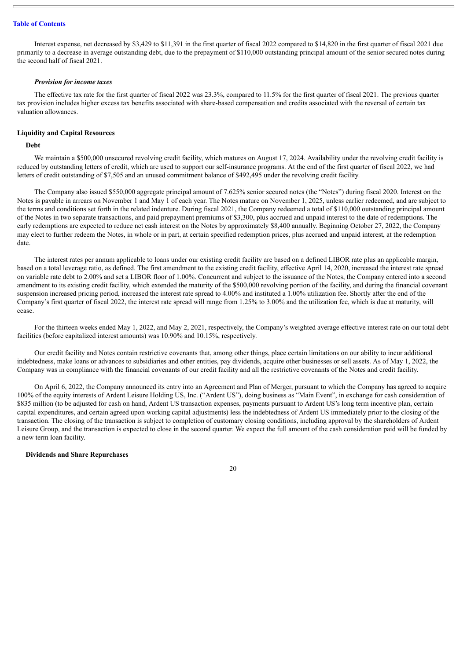Interest expense, net decreased by \$3,429 to \$11,391 in the first quarter of fiscal 2022 compared to \$14,820 in the first quarter of fiscal 2021 due primarily to a decrease in average outstanding debt, due to the prepayment of \$110,000 outstanding principal amount of the senior secured notes during the second half of fiscal 2021.

#### *Provision for income taxes*

The effective tax rate for the first quarter of fiscal 2022 was 23.3%, compared to 11.5% for the first quarter of fiscal 2021. The previous quarter tax provision includes higher excess tax benefits associated with share-based compensation and credits associated with the reversal of certain tax valuation allowances.

#### **Liquidity and Capital Resources**

#### **Debt**

We maintain a \$500,000 unsecured revolving credit facility, which matures on August 17, 2024. Availability under the revolving credit facility is reduced by outstanding letters of credit, which are used to support our self-insurance programs. At the end of the first quarter of fiscal 2022, we had letters of credit outstanding of \$7,505 and an unused commitment balance of \$492,495 under the revolving credit facility.

The Company also issued \$550,000 aggregate principal amount of 7.625% senior secured notes (the "Notes") during fiscal 2020. Interest on the Notes is payable in arrears on November 1 and May 1 of each year. The Notes mature on November 1, 2025, unless earlier redeemed, and are subject to the terms and conditions set forth in the related indenture. During fiscal 2021, the Company redeemed a total of \$110,000 outstanding principal amount of the Notes in two separate transactions, and paid prepayment premiums of \$3,300, plus accrued and unpaid interest to the date of redemptions. The early redemptions are expected to reduce net cash interest on the Notes by approximately \$8,400 annually. Beginning October 27, 2022, the Company may elect to further redeem the Notes, in whole or in part, at certain specified redemption prices, plus accrued and unpaid interest, at the redemption date.

The interest rates per annum applicable to loans under our existing credit facility are based on a defined LIBOR rate plus an applicable margin, based on a total leverage ratio, as defined. The first amendment to the existing credit facility, effective April 14, 2020, increased the interest rate spread on variable rate debt to 2.00% and set a LIBOR floor of 1.00%. Concurrent and subject to the issuance of the Notes, the Company entered into a second amendment to its existing credit facility, which extended the maturity of the \$500,000 revolving portion of the facility, and during the financial covenant suspension increased pricing period, increased the interest rate spread to 4.00% and instituted a 1.00% utilization fee. Shortly after the end of the Company's first quarter of fiscal 2022, the interest rate spread will range from 1.25% to 3.00% and the utilization fee, which is due at maturity, will cease.

For the thirteen weeks ended May 1, 2022, and May 2, 2021, respectively, the Company's weighted average effective interest rate on our total debt facilities (before capitalized interest amounts) was 10.90% and 10.15%, respectively.

Our credit facility and Notes contain restrictive covenants that, among other things, place certain limitations on our ability to incur additional indebtedness, make loans or advances to subsidiaries and other entities, pay dividends, acquire other businesses or sell assets. As of May 1, 2022, the Company was in compliance with the financial covenants of our credit facility and all the restrictive covenants of the Notes and credit facility.

On April 6, 2022, the Company announced its entry into an Agreement and Plan of Merger, pursuant to which the Company has agreed to acquire 100% of the equity interests of Ardent Leisure Holding US, Inc. ("Ardent US"), doing business as "Main Event", in exchange for cash consideration of \$835 million (to be adjusted for cash on hand, Ardent US transaction expenses, payments pursuant to Ardent US's long term incentive plan, certain capital expenditures, and certain agreed upon working capital adjustments) less the indebtedness of Ardent US immediately prior to the closing of the transaction. The closing of the transaction is subject to completion of customary closing conditions, including approval by the shareholders of Ardent Leisure Group, and the transaction is expected to close in the second quarter. We expect the full amount of the cash consideration paid will be funded by a new term loan facility.

#### **Dividends and Share Repurchases**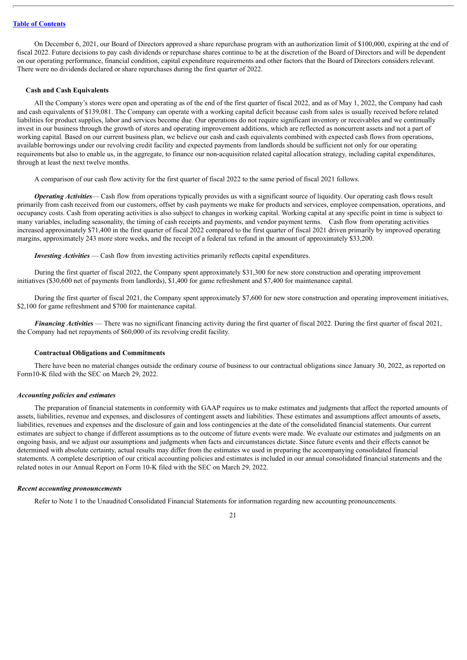On December 6, 2021, our Board of Directors approved a share repurchase program with an authorization limit of \$100,000, expiring at the end of fiscal 2022. Future decisions to pay cash dividends or repurchase shares continue to be at the discretion of the Board of Directors and will be dependent on our operating performance, financial condition, capital expenditure requirements and other factors that the Board of Directors considers relevant. There were no dividends declared or share repurchases during the first quarter of 2022.

#### **Cash and Cash Equivalents**

All the Company's stores were open and operating as of the end of the first quarter of fiscal 2022, and as of May 1, 2022, the Company had cash and cash equivalents of \$139,081. The Company can operate with a working capital deficit because cash from sales is usually received before related liabilities for product supplies, labor and services become due. Our operations do not require significant inventory or receivables and we continually invest in our business through the growth of stores and operating improvement additions, which are reflected as noncurrent assets and not a part of working capital. Based on our current business plan, we believe our cash and cash equivalents combined with expected cash flows from operations, available borrowings under our revolving credit facility and expected payments from landlords should be sufficient not only for our operating requirements but also to enable us, in the aggregate, to finance our non-acquisition related capital allocation strategy, including capital expenditures, through at least the next twelve months.

A comparison of our cash flow activity for the first quarter of fiscal 2022 to the same period of fiscal 2021 follows.

*Operating Activities*— Cash flow from operations typically provides us with a significant source of liquidity. Our operating cash flows result primarily from cash received from our customers, offset by cash payments we make for products and services, employee compensation, operations, and occupancy costs. Cash from operating activities is also subject to changes in working capital. Working capital at any specific point in time is subject to many variables, including seasonality, the timing of cash receipts and payments, and vendor payment terms. Cash flow from operating activities increased approximately \$71,400 in the first quarter of fiscal 2022 compared to the first quarter of fiscal 2021 driven primarily by improved operating margins, approximately 243 more store weeks, and the receipt of a federal tax refund in the amount of approximately \$33,200.

*Investing Activities* — Cash flow from investing activities primarily reflects capital expenditures.

During the first quarter of fiscal 2022, the Company spent approximately \$31,300 for new store construction and operating improvement initiatives (\$30,600 net of payments from landlords), \$1,400 for game refreshment and \$7,400 for maintenance capital.

During the first quarter of fiscal 2021, the Company spent approximately \$7,600 for new store construction and operating improvement initiatives, \$2,100 for game refreshment and \$700 for maintenance capital.

*Financing Activities* — There was no significant financing activity during the first quarter of fiscal 2022. During the first quarter of fiscal 2021, the Company had net repayments of \$60,000 of its revolving credit facility.

#### **Contractual Obligations and Commitments**

There have been no material changes outside the ordinary course of business to our contractual obligations since January 30, 2022, as reported on Form10-K filed with the SEC on March 29, 2022.

#### *Accounting policies and estimates*

The preparation of financial statements in conformity with GAAP requires us to make estimates and judgments that affect the reported amounts of assets, liabilities, revenue and expenses, and disclosures of contingent assets and liabilities. These estimates and assumptions affect amounts of assets, liabilities, revenues and expenses and the disclosure of gain and loss contingencies at the date of the consolidated financial statements. Our current estimates are subject to change if different assumptions as to the outcome of future events were made. We evaluate our estimates and judgments on an ongoing basis, and we adjust our assumptions and judgments when facts and circumstances dictate. Since future events and their effects cannot be determined with absolute certainty, actual results may differ from the estimates we used in preparing the accompanying consolidated financial statements. A complete description of our critical accounting policies and estimates is included in our annual consolidated financial statements and the related notes in our Annual Report on Form 10-K filed with the SEC on March 29, 2022.

#### *Recent accounting pronouncements*

Refer to Note 1 to the Unaudited Consolidated Financial Statements for information regarding new accounting pronouncements.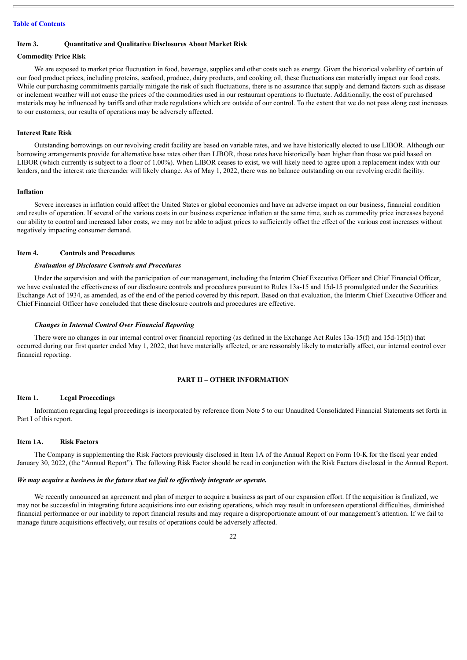#### <span id="page-21-0"></span>**Item 3. Quantitative and Qualitative Disclosures About Market Risk**

#### **Commodity Price Risk**

We are exposed to market price fluctuation in food, beverage, supplies and other costs such as energy. Given the historical volatility of certain of our food product prices, including proteins, seafood, produce, dairy products, and cooking oil, these fluctuations can materially impact our food costs. While our purchasing commitments partially mitigate the risk of such fluctuations, there is no assurance that supply and demand factors such as disease or inclement weather will not cause the prices of the commodities used in our restaurant operations to fluctuate. Additionally, the cost of purchased materials may be influenced by tariffs and other trade regulations which are outside of our control. To the extent that we do not pass along cost increases to our customers, our results of operations may be adversely affected.

#### **Interest Rate Risk**

Outstanding borrowings on our revolving credit facility are based on variable rates, and we have historically elected to use LIBOR. Although our borrowing arrangements provide for alternative base rates other than LIBOR, those rates have historically been higher than those we paid based on LIBOR (which currently is subject to a floor of 1.00%). When LIBOR ceases to exist, we will likely need to agree upon a replacement index with our lenders, and the interest rate thereunder will likely change. As of May 1, 2022, there was no balance outstanding on our revolving credit facility.

#### **Inflation**

Severe increases in inflation could affect the United States or global economies and have an adverse impact on our business, financial condition and results of operation. If several of the various costs in our business experience inflation at the same time, such as commodity price increases beyond our ability to control and increased labor costs, we may not be able to adjust prices to sufficiently offset the effect of the various cost increases without negatively impacting consumer demand.

#### <span id="page-21-1"></span>**Item 4. Controls and Procedures**

#### *Evaluation of Disclosure Controls and Procedures*

Under the supervision and with the participation of our management, including the Interim Chief Executive Officer and Chief Financial Officer, we have evaluated the effectiveness of our disclosure controls and procedures pursuant to Rules 13a-15 and 15d-15 promulgated under the Securities Exchange Act of 1934, as amended, as of the end of the period covered by this report. Based on that evaluation, the Interim Chief Executive Officer and Chief Financial Officer have concluded that these disclosure controls and procedures are effective.

#### *Changes in Internal Control Over Financial Reporting*

There were no changes in our internal control over financial reporting (as defined in the Exchange Act Rules 13a-15(f) and 15d-15(f)) that occurred during our first quarter ended May 1, 2022, that have materially affected, or are reasonably likely to materially affect, our internal control over financial reporting.

### **PART II – OTHER INFORMATION**

#### <span id="page-21-2"></span>**Item 1. Legal Proceedings**

Information regarding legal proceedings is incorporated by reference from Note 5 to our Unaudited Consolidated Financial Statements set forth in Part I of this report.

#### <span id="page-21-3"></span>**Item 1A. Risk Factors**

The Company is supplementing the Risk Factors previously disclosed in Item 1A of the Annual Report on Form 10-K for the fiscal year ended January 30, 2022, (the "Annual Report"). The following Risk Factor should be read in conjunction with the Risk Factors disclosed in the Annual Report.

#### *We may acquire a business in the future that we fail to ef ectively integrate or operate.*

We recently announced an agreement and plan of merger to acquire a business as part of our expansion effort. If the acquisition is finalized, we may not be successful in integrating future acquisitions into our existing operations, which may result in unforeseen operational difficulties, diminished financial performance or our inability to report financial results and may require a disproportionate amount of our management's attention. If we fail to manage future acquisitions effectively, our results of operations could be adversely affected.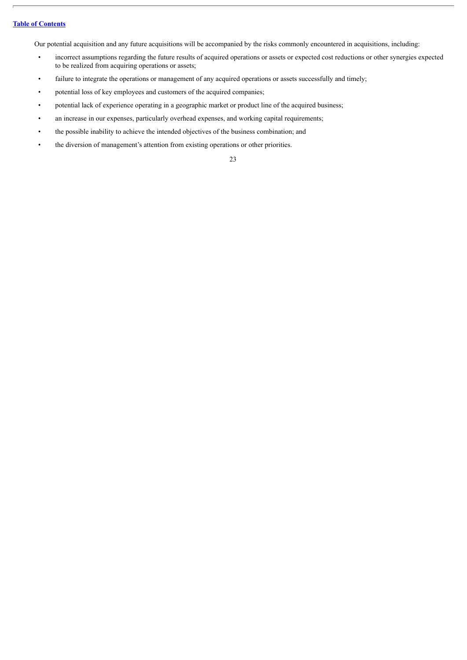Our potential acquisition and any future acquisitions will be accompanied by the risks commonly encountered in acquisitions, including:

- incorrect assumptions regarding the future results of acquired operations or assets or expected cost reductions or other synergies expected to be realized from acquiring operations or assets;
- failure to integrate the operations or management of any acquired operations or assets successfully and timely;
- potential loss of key employees and customers of the acquired companies;
- potential lack of experience operating in a geographic market or product line of the acquired business;
- an increase in our expenses, particularly overhead expenses, and working capital requirements;
- the possible inability to achieve the intended objectives of the business combination; and
- the diversion of management's attention from existing operations or other priorities.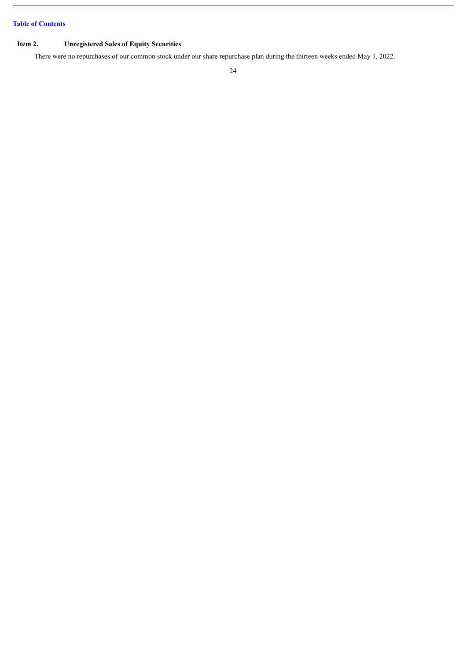ŀ.

### <span id="page-23-0"></span>**Item 2. Unregistered Sales of Equity Securities**

There were no repurchases of our common stock under our share repurchase plan during the thirteen weeks ended May 1, 2022.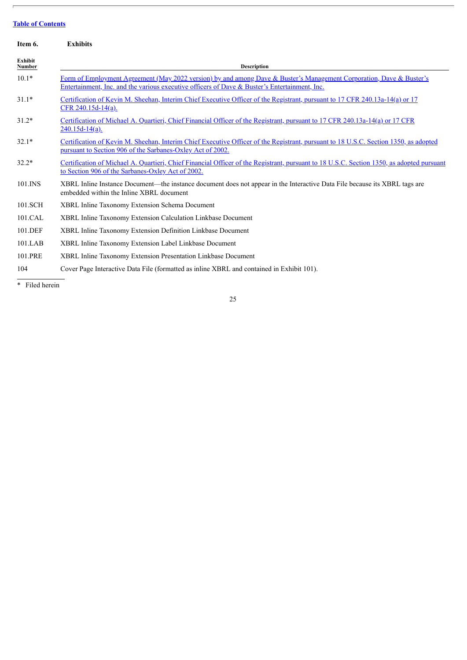$\overline{\phantom{a}}$ 

<span id="page-24-0"></span>

| Item 6.                  | <b>Exhibits</b>                                                                                                                                                                                                       |
|--------------------------|-----------------------------------------------------------------------------------------------------------------------------------------------------------------------------------------------------------------------|
| <b>Exhibit</b><br>Number | <b>Description</b>                                                                                                                                                                                                    |
| $10.1*$                  | Form of Employment Agreement (May 2022 version) by and among Dave & Buster's Management Corporation, Dave & Buster's<br>Entertainment, Inc. and the various executive officers of Dave & Buster's Entertainment, Inc. |
| $31.1*$                  | Certification of Kevin M. Sheehan, Interim Chief Executive Officer of the Registrant, pursuant to 17 CFR 240.13a-14(a) or 17<br>CFR 240.15d-14(a).                                                                    |
| $31.2*$                  | Certification of Michael A. Quartieri, Chief Financial Officer of the Registrant, pursuant to 17 CFR 240.13a-14(a) or 17 CFR<br>$240.15d-14(a)$ .                                                                     |
| $32.1*$                  | Certification of Kevin M. Sheehan, Interim Chief Executive Officer of the Registrant, pursuant to 18 U.S.C. Section 1350, as adopted<br>pursuant to Section 906 of the Sarbanes-Oxley Act of 2002.                    |
| $32.2*$                  | Certification of Michael A. Quartieri, Chief Financial Officer of the Registrant, pursuant to 18 U.S.C. Section 1350, as adopted pursuant<br>to Section 906 of the Sarbanes-Oxley Act of 2002.                        |
| 101.INS                  | XBRL Inline Instance Document—the instance document does not appear in the Interactive Data File because its XBRL tags are<br>embedded within the Inline XBRL document                                                |
| 101.SCH                  | XBRL Inline Taxonomy Extension Schema Document                                                                                                                                                                        |
| 101.CAL                  | XBRL Inline Taxonomy Extension Calculation Linkbase Document                                                                                                                                                          |
| 101.DEF                  | XBRL Inline Taxonomy Extension Definition Linkbase Document                                                                                                                                                           |
| $101$ .LAB               | XBRL Inline Taxonomy Extension Label Linkbase Document                                                                                                                                                                |
| 101.PRE                  | XBRL Inline Taxonomy Extension Presentation Linkbase Document                                                                                                                                                         |
| 104                      | Cover Page Interactive Data File (formatted as inline XBRL and contained in Exhibit 101).                                                                                                                             |
| * Filed herein           |                                                                                                                                                                                                                       |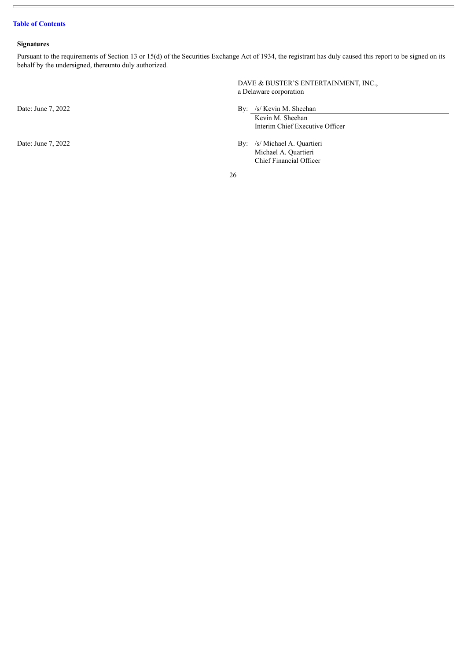### <span id="page-25-0"></span>**Signatures**

Pursuant to the requirements of Section 13 or 15(d) of the Securities Exchange Act of 1934, the registrant has duly caused this report to be signed on its behalf by the undersigned, thereunto duly authorized.

DAVE & BUSTER'S ENTERTAINMENT, INC., a Delaware corporation

Date: June 7, 2022 By: /s/ Kevin M. Sheehan

Kevin M. Sheehan Interim Chief Executive Officer

Date: June 7, 2022 By: /s/ Michael A. Quartieri

Michael A. Quartieri Chief Financial Officer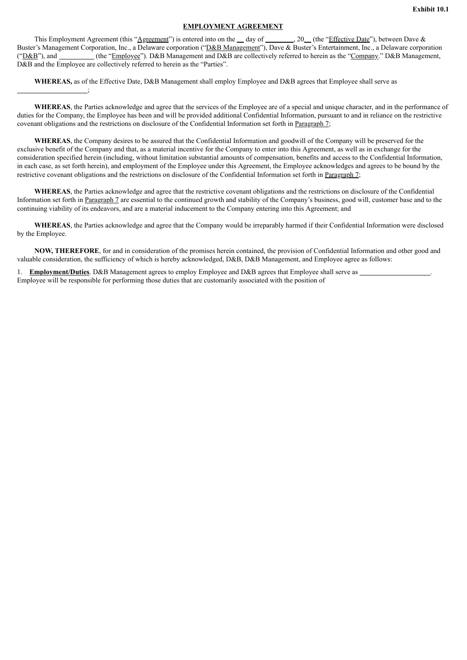#### **EMPLOYMENT AGREEMENT**

<span id="page-26-0"></span>This Employment Agreement (this "Agreement") is entered into on the day of  $\frac{20}{100}$  (the "Effective Date"), between Dave & Buster's Management Corporation, Inc., a Delaware corporation ("D&B Management"), Dave & Buster's Entertainment, Inc., a Delaware corporation ("D&B"), and \_\_\_\_\_\_\_(the "Employee"). D&B Management and D&B are collectively referred to herein as the "Company." D&B Management, D&B and the Employee are collectively referred to herein as the "Parties".

**WHEREAS,** as of the Effective Date, D&B Management shall employ Employee and D&B agrees that Employee shall serve as

;

**WHEREAS**, the Parties acknowledge and agree that the services of the Employee are of a special and unique character, and in the performance of duties for the Company, the Employee has been and will be provided additional Confidential Information, pursuant to and in reliance on the restrictive covenant obligations and the restrictions on disclosure of the Confidential Information set forth in Paragraph 7;

**WHEREAS**, the Company desires to be assured that the Confidential Information and goodwill of the Company will be preserved for the exclusive benefit of the Company and that, as a material incentive for the Company to enter into this Agreement, as well as in exchange for the consideration specified herein (including, without limitation substantial amounts of compensation, benefits and access to the Confidential Information, in each case, as set forth herein), and employment of the Employee under this Agreement, the Employee acknowledges and agrees to be bound by the restrictive covenant obligations and the restrictions on disclosure of the Confidential Information set forth in Paragraph 7;

**WHEREAS**, the Parties acknowledge and agree that the restrictive covenant obligations and the restrictions on disclosure of the Confidential Information set forth in Paragraph 7 are essential to the continued growth and stability of the Company's business, good will, customer base and to the continuing viability of its endeavors, and are a material inducement to the Company entering into this Agreement; and

**WHEREAS**, the Parties acknowledge and agree that the Company would be irreparably harmed if their Confidential Information were disclosed by the Employee.

**NOW, THEREFORE**, for and in consideration of the promises herein contained, the provision of Confidential Information and other good and valuable consideration, the sufficiency of which is hereby acknowledged, D&B, D&B Management, and Employee agree as follows:

1. **Employment/Duties**. D&B Management agrees to employ Employee and D&B agrees that Employee shall serve as . Employee will be responsible for performing those duties that are customarily associated with the position of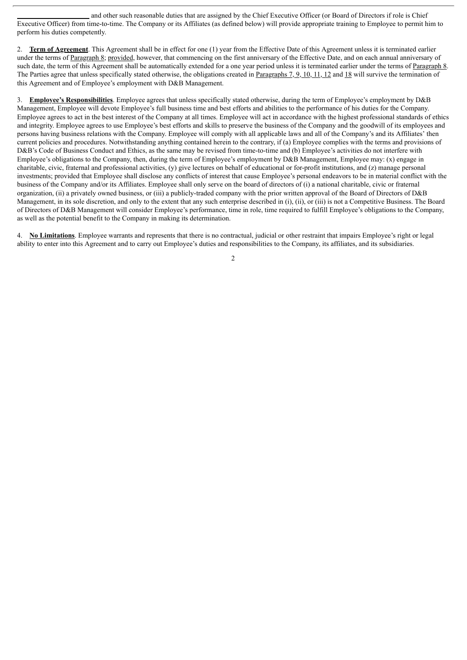and other such reasonable duties that are assigned by the Chief Executive Officer (or Board of Directors if role is Chief Executive Officer) from time-to-time. The Company or its Affiliates (as defined below) will provide appropriate training to Employee to permit him to perform his duties competently.

2. **Term of Agreement**. This Agreement shall be in effect for one (1) year from the Effective Date of this Agreement unless it is terminated earlier under the terms of Paragraph 8; provided, however, that commencing on the first anniversary of the Effective Date, and on each annual anniversary of such date, the term of this Agreement shall be automatically extended for a one year period unless it is terminated earlier under the terms of Paragraph 8. The Parties agree that unless specifically stated otherwise, the obligations created in Paragraphs 7, 9, 10, 11, 12 and 18 will survive the termination of this Agreement and of Employee's employment with D&B Management.

3. **Employee's Responsibilities**. Employee agrees that unless specifically stated otherwise, during the term of Employee's employment by D&B Management, Employee will devote Employee's full business time and best efforts and abilities to the performance of his duties for the Company. Employee agrees to act in the best interest of the Company at all times. Employee will act in accordance with the highest professional standards of ethics and integrity. Employee agrees to use Employee's best efforts and skills to preserve the business of the Company and the goodwill of its employees and persons having business relations with the Company. Employee will comply with all applicable laws and all of the Company's and its Affiliates' then current policies and procedures. Notwithstanding anything contained herein to the contrary, if (a) Employee complies with the terms and provisions of D&B's Code of Business Conduct and Ethics, as the same may be revised from time-to-time and (b) Employee's activities do not interfere with Employee's obligations to the Company, then, during the term of Employee's employment by D&B Management, Employee may: (x) engage in charitable, civic, fraternal and professional activities, (y) give lectures on behalf of educational or for-profit institutions, and (z) manage personal investments; provided that Employee shall disclose any conflicts of interest that cause Employee's personal endeavors to be in material conflict with the business of the Company and/or its Affiliates. Employee shall only serve on the board of directors of (i) a national charitable, civic or fraternal organization, (ii) a privately owned business, or (iii) a publicly-traded company with the prior written approval of the Board of Directors of D&B Management, in its sole discretion, and only to the extent that any such enterprise described in (i), (ii), or (iii) is not a Competitive Business. The Board of Directors of D&B Management will consider Employee's performance, time in role, time required to fulfill Employee's obligations to the Company, as well as the potential benefit to the Company in making its determination.

4. **No Limitations**. Employee warrants and represents that there is no contractual, judicial or other restraint that impairs Employee's right or legal ability to enter into this Agreement and to carry out Employee's duties and responsibilities to the Company, its affiliates, and its subsidiaries.

 $\overline{2}$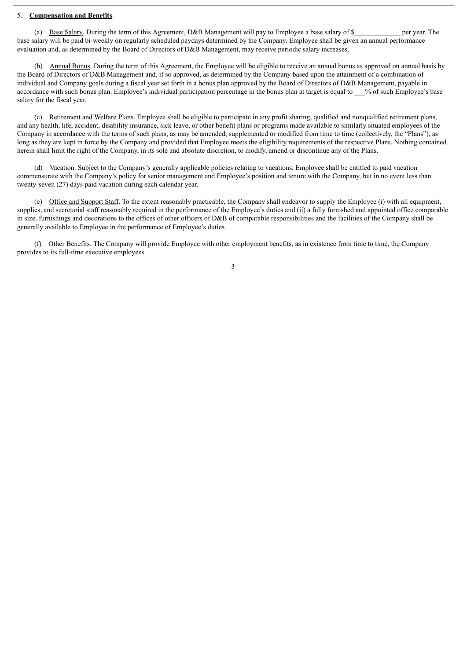#### 5. **Compensation and Benefits**.

(a) Base Salary. During the term of this Agreement, D&B Management will pay to Employee a base salary of \$ per year. The base salary will be paid bi-weekly on regularly scheduled paydays determined by the Company. Employee shall be given an annual performance evaluation and, as determined by the Board of Directors of D&B Management, may receive periodic salary increases.

(b) Annual Bonus. During the term of this Agreement, the Employee will be eligible to receive an annual bonus as approved on annual basis by the Board of Directors of D&B Management and, if so approved, as determined by the Company based upon the attainment of a combination of individual and Company goals during a fiscal year set forth in a bonus plan approved by the Board of Directors of D&B Management, payable in accordance with such bonus plan. Employee's individual participation percentage in the bonus plan at target is equal to % of such Employee's base salary for the fiscal year.

(c) Retirement and Welfare Plans. Employee shall be eligible to participate in any profit sharing, qualified and nonqualified retirement plans, and any health, life, accident, disability insurance, sick leave, or other benefit plans or programs made available to similarly situated employees of the Company in accordance with the terms of such plans, as may be amended, supplemented or modified from time to time (collectively, the "Plans"), as long as they are kept in force by the Company and provided that Employee meets the eligibility requirements of the respective Plans. Nothing contained herein shall limit the right of the Company, in its sole and absolute discretion, to modify, amend or discontinue any of the Plans.

(d) Vacation. Subject to the Company's generally applicable policies relating to vacations, Employee shall be entitled to paid vacation commensurate with the Company's policy for senior management and Employee's position and tenure with the Company, but in no event less than twenty-seven (27) days paid vacation during each calendar year.

(e) Office and Support Staff. To the extent reasonably practicable, the Company shall endeavor to supply the Employee (i) with all equipment, supplies, and secretarial staff reasonably required in the performance of the Employee's duties and (ii) a fully furnished and appointed office comparable in size, furnishings and decorations to the offices of other officers of D&B of comparable responsibilities and the facilities of the Company shall be generally available to Employee in the performance of Employee's duties.

(f) Other Benefits. The Company will provide Employee with other employment benefits, as in existence from time to time, the Company provides to its full-time executive employees.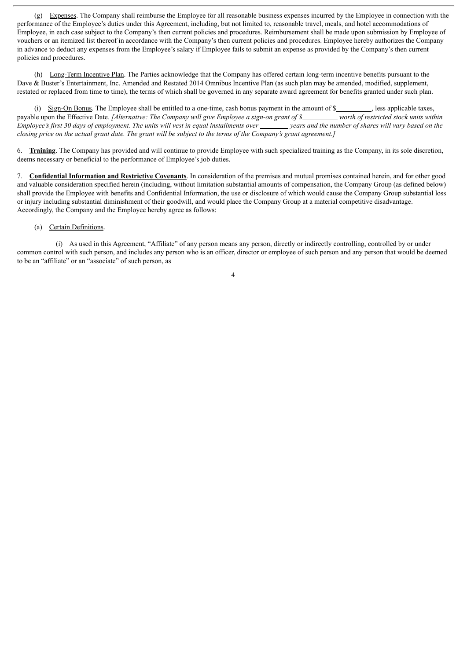(g) Expenses. The Company shall reimburse the Employee for all reasonable business expenses incurred by the Employee in connection with the performance of the Employee's duties under this Agreement, including, but not limited to, reasonable travel, meals, and hotel accommodations of Employee, in each case subject to the Company's then current policies and procedures. Reimbursement shall be made upon submission by Employee of vouchers or an itemized list thereof in accordance with the Company's then current policies and procedures. Employee hereby authorizes the Company in advance to deduct any expenses from the Employee's salary if Employee fails to submit an expense as provided by the Company's then current policies and procedures.

(h) Long-Term Incentive Plan. The Parties acknowledge that the Company has offered certain long-term incentive benefits pursuant to the Dave & Buster's Entertainment, Inc. Amended and Restated 2014 Omnibus Incentive Plan (as such plan may be amended, modified, supplement, restated or replaced from time to time), the terms of which shall be governed in any separate award agreement for benefits granted under such plan.

(i) Sign-On Bonus. The Employee shall be entitled to a one-time, cash bonus payment in the amount of  $\frac{\text{S}}{\text{S}}$ , less applicable taxes, payable upon the Effective Date. [Alternative: The Company will give Employee a sign-on grant of \$ worth of restricted stock units within Employee's first 30 days of employment. The units will yest in equal installments over<br>Employee's first 30 days of employment. The units will yest in equal installments over years and the number of shares will vary based o closing price on the actual grant date. The grant will be subject to the terms of the Company's grant agreement.]

6. **Training**. The Company has provided and will continue to provide Employee with such specialized training as the Company, in its sole discretion, deems necessary or beneficial to the performance of Employee's job duties.

7. **Confidential Information and Restrictive Covenants**. In consideration of the premises and mutual promises contained herein, and for other good and valuable consideration specified herein (including, without limitation substantial amounts of compensation, the Company Group (as defined below) shall provide the Employee with benefits and Confidential Information, the use or disclosure of which would cause the Company Group substantial loss or injury including substantial diminishment of their goodwill, and would place the Company Group at a material competitive disadvantage. Accordingly, the Company and the Employee hereby agree as follows:

### (a) Certain Definitions.

(i) As used in this Agreement, "Affiliate" of any person means any person, directly or indirectly controlling, controlled by or under common control with such person, and includes any person who is an officer, director or employee of such person and any person that would be deemed to be an "affiliate" or an "associate" of such person, as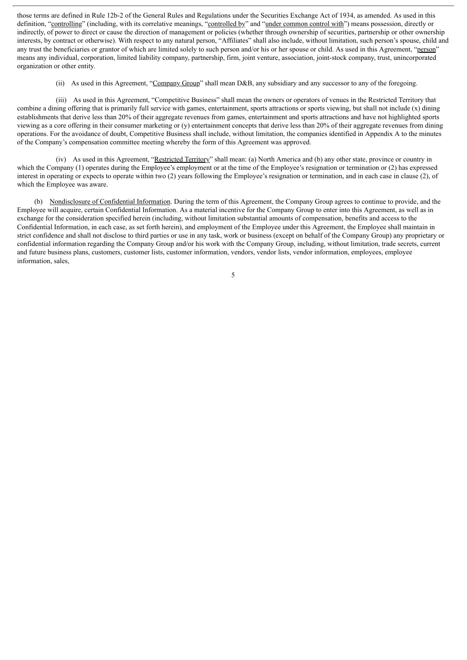those terms are defined in Rule 12b-2 of the General Rules and Regulations under the Securities Exchange Act of 1934, as amended. As used in this definition, "controlling" (including, with its correlative meanings, "controlled by" and "under common control with") means possession, directly or indirectly, of power to direct or cause the direction of management or policies (whether through ownership of securities, partnership or other ownership interests, by contract or otherwise). With respect to any natural person, "Affiliates" shall also include, without limitation, such person's spouse, child and any trust the beneficiaries or grantor of which are limited solely to such person and/or his or her spouse or child. As used in this Agreement, "person" means any individual, corporation, limited liability company, partnership, firm, joint venture, association, joint-stock company, trust, unincorporated organization or other entity.

(ii) As used in this Agreement, "Company Group" shall mean D&B, any subsidiary and any successor to any of the foregoing.

(iii) As used in this Agreement, "Competitive Business" shall mean the owners or operators of venues in the Restricted Territory that combine a dining offering that is primarily full service with games, entertainment, sports attractions or sports viewing, but shall not include  $(x)$  dining establishments that derive less than 20% of their aggregate revenues from games, entertainment and sports attractions and have not highlighted sports viewing as a core offering in their consumer marketing or (y) entertainment concepts that derive less than 20% of their aggregate revenues from dining operations. For the avoidance of doubt, Competitive Business shall include, without limitation, the companies identified in Appendix A to the minutes of the Company's compensation committee meeting whereby the form of this Agreement was approved.

(iv) As used in this Agreement, "Restricted Territory" shall mean: (a) North America and (b) any other state, province or country in which the Company (1) operates during the Employee's employment or at the time of the Employee's resignation or termination or (2) has expressed interest in operating or expects to operate within two (2) years following the Employee's resignation or termination, and in each case in clause (2), of which the Employee was aware.

(b) Nondisclosure of Confidential Information. During the term of this Agreement, the Company Group agrees to continue to provide, and the Employee will acquire, certain Confidential Information. As a material incentive for the Company Group to enter into this Agreement, as well as in exchange for the consideration specified herein (including, without limitation substantial amounts of compensation, benefits and access to the Confidential Information, in each case, as set forth herein), and employment of the Employee under this Agreement, the Employee shall maintain in strict confidence and shall not disclose to third parties or use in any task, work or business (except on behalf of the Company Group) any proprietary or confidential information regarding the Company Group and/or his work with the Company Group, including, without limitation, trade secrets, current and future business plans, customers, customer lists, customer information, vendors, vendor lists, vendor information, employees, employee information, sales,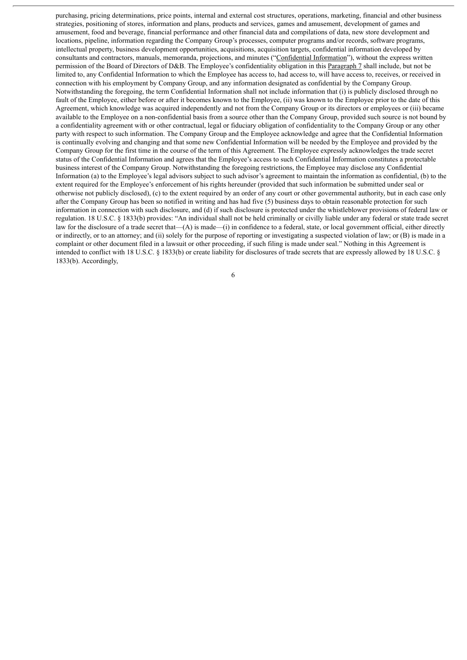purchasing, pricing determinations, price points, internal and external cost structures, operations, marketing, financial and other business strategies, positioning of stores, information and plans, products and services, games and amusement, development of games and amusement, food and beverage, financial performance and other financial data and compilations of data, new store development and locations, pipeline, information regarding the Company Group's processes, computer programs and/or records, software programs, intellectual property, business development opportunities, acquisitions, acquisition targets, confidential information developed by consultants and contractors, manuals, memoranda, projections, and minutes ("Confidential Information"), without the express written permission of the Board of Directors of D&B. The Employee's confidentiality obligation in this Paragraph 7 shall include, but not be limited to, any Confidential Information to which the Employee has access to, had access to, will have access to, receives, or received in connection with his employment by Company Group, and any information designated as confidential by the Company Group. Notwithstanding the foregoing, the term Confidential Information shall not include information that (i) is publicly disclosed through no fault of the Employee, either before or after it becomes known to the Employee, (ii) was known to the Employee prior to the date of this Agreement, which knowledge was acquired independently and not from the Company Group or its directors or employees or (iii) became available to the Employee on a non-confidential basis from a source other than the Company Group, provided such source is not bound by a confidentiality agreement with or other contractual, legal or fiduciary obligation of confidentiality to the Company Group or any other party with respect to such information. The Company Group and the Employee acknowledge and agree that the Confidential Information is continually evolving and changing and that some new Confidential Information will be needed by the Employee and provided by the Company Group for the first time in the course of the term of this Agreement. The Employee expressly acknowledges the trade secret status of the Confidential Information and agrees that the Employee's access to such Confidential Information constitutes a protectable business interest of the Company Group. Notwithstanding the foregoing restrictions, the Employee may disclose any Confidential Information (a) to the Employee's legal advisors subject to such advisor's agreement to maintain the information as confidential, (b) to the extent required for the Employee's enforcement of his rights hereunder (provided that such information be submitted under seal or otherwise not publicly disclosed), (c) to the extent required by an order of any court or other governmental authority, but in each case only after the Company Group has been so notified in writing and has had five (5) business days to obtain reasonable protection for such information in connection with such disclosure, and (d) if such disclosure is protected under the whistleblower provisions of federal law or regulation. 18 U.S.C. § 1833(b) provides: "An individual shall not be held criminally or civilly liable under any federal or state trade secret law for the disclosure of a trade secret that—(A) is made—(i) in confidence to a federal, state, or local government official, either directly or indirectly, or to an attorney; and (ii) solely for the purpose of reporting or investigating a suspected violation of law; or (B) is made in a complaint or other document filed in a lawsuit or other proceeding, if such filing is made under seal." Nothing in this Agreement is intended to conflict with 18 U.S.C. § 1833(b) or create liability for disclosures of trade secrets that are expressly allowed by 18 U.S.C. § 1833(b). Accordingly,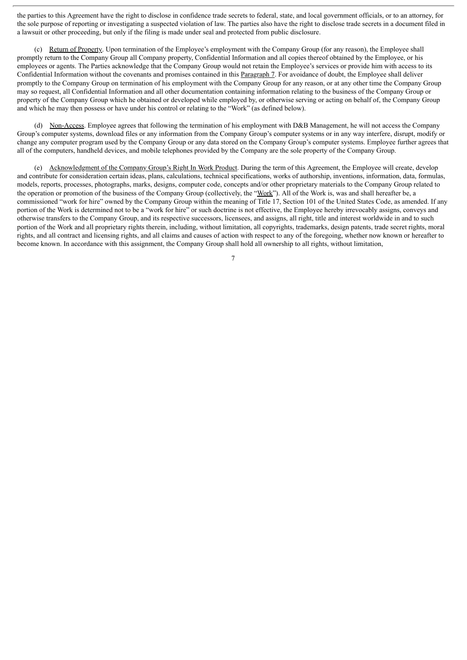the parties to this Agreement have the right to disclose in confidence trade secrets to federal, state, and local government officials, or to an attorney, for the sole purpose of reporting or investigating a suspected violation of law. The parties also have the right to disclose trade secrets in a document filed in a lawsuit or other proceeding, but only if the filing is made under seal and protected from public disclosure.

(c) Return of Property. Upon termination of the Employee's employment with the Company Group (for any reason), the Employee shall promptly return to the Company Group all Company property, Confidential Information and all copies thereof obtained by the Employee, or his employees or agents. The Parties acknowledge that the Company Group would not retain the Employee's services or provide him with access to its Confidential Information without the covenants and promises contained in this Paragraph 7. For avoidance of doubt, the Employee shall deliver promptly to the Company Group on termination of his employment with the Company Group for any reason, or at any other time the Company Group may so request, all Confidential Information and all other documentation containing information relating to the business of the Company Group or property of the Company Group which he obtained or developed while employed by, or otherwise serving or acting on behalf of, the Company Group and which he may then possess or have under his control or relating to the "Work" (as defined below).

(d) Non-Access. Employee agrees that following the termination of his employment with D&B Management, he will not access the Company Group's computer systems, download files or any information from the Company Group's computer systems or in any way interfere, disrupt, modify or change any computer program used by the Company Group or any data stored on the Company Group's computer systems. Employee further agrees that all of the computers, handheld devices, and mobile telephones provided by the Company are the sole property of the Company Group.

(e) Acknowledgment of the Company Group's Right In Work Product. During the term of this Agreement, the Employee will create, develop and contribute for consideration certain ideas, plans, calculations, technical specifications, works of authorship, inventions, information, data, formulas, models, reports, processes, photographs, marks, designs, computer code, concepts and/or other proprietary materials to the Company Group related to the operation or promotion of the business of the Company Group (collectively, the "Work"). All of the Work is, was and shall hereafter be, a commissioned "work for hire" owned by the Company Group within the meaning of Title 17, Section 101 of the United States Code, as amended. If any portion of the Work is determined not to be a "work for hire" or such doctrine is not effective, the Employee hereby irrevocably assigns, conveys and otherwise transfers to the Company Group, and its respective successors, licensees, and assigns, all right, title and interest worldwide in and to such portion of the Work and all proprietary rights therein, including, without limitation, all copyrights, trademarks, design patents, trade secret rights, moral rights, and all contract and licensing rights, and all claims and causes of action with respect to any of the foregoing, whether now known or hereafter to become known. In accordance with this assignment, the Company Group shall hold all ownership to all rights, without limitation,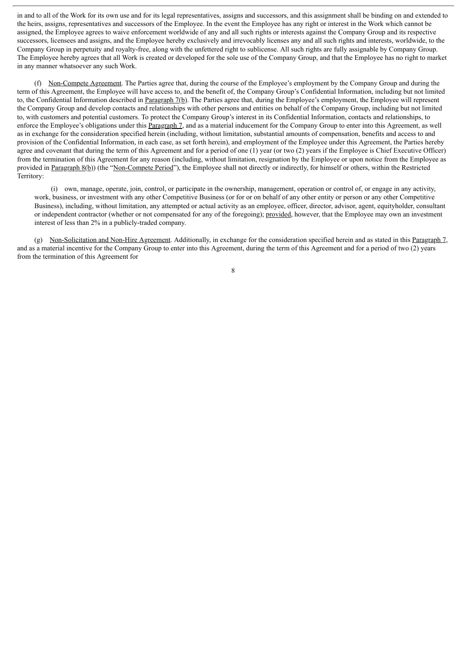in and to all of the Work for its own use and for its legal representatives, assigns and successors, and this assignment shall be binding on and extended to the heirs, assigns, representatives and successors of the Employee. In the event the Employee has any right or interest in the Work which cannot be assigned, the Employee agrees to waive enforcement worldwide of any and all such rights or interests against the Company Group and its respective successors, licensees and assigns, and the Employee hereby exclusively and irrevocably licenses any and all such rights and interests, worldwide, to the Company Group in perpetuity and royalty-free, along with the unfettered right to sublicense. All such rights are fully assignable by Company Group. The Employee hereby agrees that all Work is created or developed for the sole use of the Company Group, and that the Employee has no right to market in any manner whatsoever any such Work.

(f) Non-Compete Agreement. The Parties agree that, during the course of the Employee's employment by the Company Group and during the term of this Agreement, the Employee will have access to, and the benefit of, the Company Group's Confidential Information, including but not limited to, the Confidential Information described in Paragraph 7(b). The Parties agree that, during the Employee's employment, the Employee will represent the Company Group and develop contacts and relationships with other persons and entities on behalf of the Company Group, including but not limited to, with customers and potential customers. To protect the Company Group's interest in its Confidential Information, contacts and relationships, to enforce the Employee's obligations under this Paragraph 7, and as a material inducement for the Company Group to enter into this Agreement, as well as in exchange for the consideration specified herein (including, without limitation, substantial amounts of compensation, benefits and access to and provision of the Confidential Information, in each case, as set forth herein), and employment of the Employee under this Agreement, the Parties hereby agree and covenant that during the term of this Agreement and for a period of one (1) year (or two (2) years if the Employee is Chief Executive Officer) from the termination of this Agreement for any reason (including, without limitation, resignation by the Employee or upon notice from the Employee as provided in Paragraph 8(b)) (the "Non-Compete Period"), the Employee shall not directly or indirectly, for himself or others, within the Restricted Territory:

(i) own, manage, operate, join, control, or participate in the ownership, management, operation or control of, or engage in any activity, work, business, or investment with any other Competitive Business (or for or on behalf of any other entity or person or any other Competitive Business), including, without limitation, any attempted or actual activity as an employee, officer, director, advisor, agent, equityholder, consultant or independent contractor (whether or not compensated for any of the foregoing); provided, however, that the Employee may own an investment interest of less than 2% in a publicly-traded company.

(g) Non-Solicitation and Non-Hire Agreement. Additionally, in exchange for the consideration specified herein and as stated in this Paragraph 7, and as a material incentive for the Company Group to enter into this Agreement, during the term of this Agreement and for a period of two (2) years from the termination of this Agreement for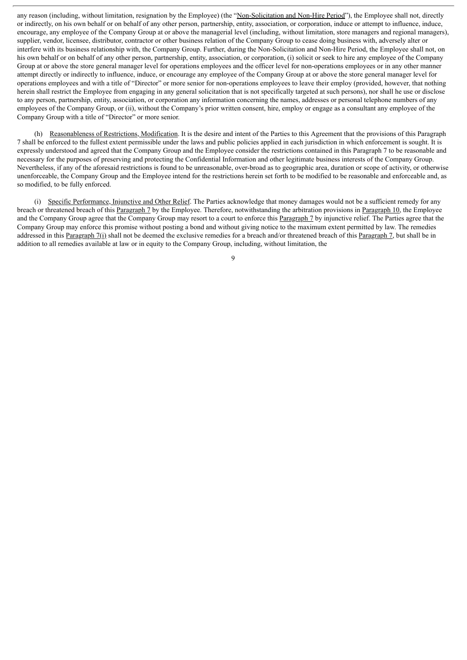any reason (including, without limitation, resignation by the Employee) (the "Non-Solicitation and Non-Hire Period"), the Employee shall not, directly or indirectly, on his own behalf or on behalf of any other person, partnership, entity, association, or corporation, induce or attempt to influence, induce, encourage, any employee of the Company Group at or above the managerial level (including, without limitation, store managers and regional managers), supplier, vendor, licensee, distributor, contractor or other business relation of the Company Group to cease doing business with, adversely alter or interfere with its business relationship with, the Company Group. Further, during the Non-Solicitation and Non-Hire Period, the Employee shall not, on his own behalf or on behalf of any other person, partnership, entity, association, or corporation, (i) solicit or seek to hire any employee of the Company Group at or above the store general manager level for operations employees and the officer level for non-operations employees or in any other manner attempt directly or indirectly to influence, induce, or encourage any employee of the Company Group at or above the store general manager level for operations employees and with a title of "Director" or more senior for non-operations employees to leave their employ (provided, however, that nothing herein shall restrict the Employee from engaging in any general solicitation that is not specifically targeted at such persons), nor shall he use or disclose to any person, partnership, entity, association, or corporation any information concerning the names, addresses or personal telephone numbers of any employees of the Company Group, or (ii), without the Company's prior written consent, hire, employ or engage as a consultant any employee of the Company Group with a title of "Director" or more senior.

(h) Reasonableness of Restrictions, Modification. It is the desire and intent of the Parties to this Agreement that the provisions of this Paragraph 7 shall be enforced to the fullest extent permissible under the laws and public policies applied in each jurisdiction in which enforcement is sought. It is expressly understood and agreed that the Company Group and the Employee consider the restrictions contained in this Paragraph 7 to be reasonable and necessary for the purposes of preserving and protecting the Confidential Information and other legitimate business interests of the Company Group. Nevertheless, if any of the aforesaid restrictions is found to be unreasonable, over-broad as to geographic area, duration or scope of activity, or otherwise unenforceable, the Company Group and the Employee intend for the restrictions herein set forth to be modified to be reasonable and enforceable and, as so modified, to be fully enforced.

(i) Specific Performance, Injunctive and Other Relief. The Parties acknowledge that money damages would not be a sufficient remedy for any breach or threatened breach of this Paragraph 7 by the Employee. Therefore, notwithstanding the arbitration provisions in Paragraph 10, the Employee and the Company Group agree that the Company Group may resort to a court to enforce this Paragraph 7 by injunctive relief. The Parties agree that the Company Group may enforce this promise without posting a bond and without giving notice to the maximum extent permitted by law. The remedies addressed in this Paragraph 7(i) shall not be deemed the exclusive remedies for a breach and/or threatened breach of this Paragraph 7, but shall be in addition to all remedies available at law or in equity to the Company Group, including, without limitation, the

 $\Omega$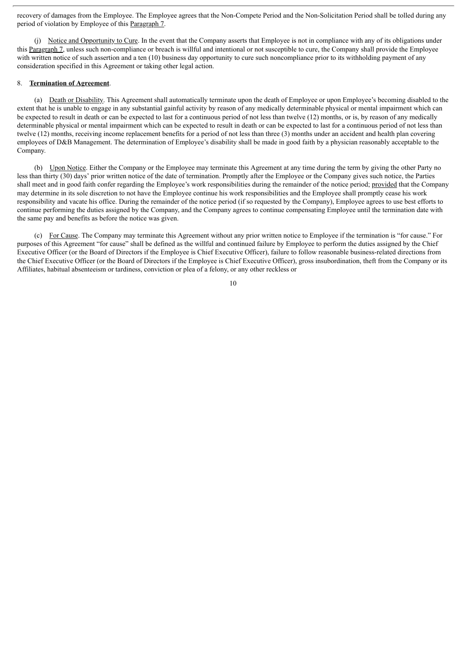recovery of damages from the Employee. The Employee agrees that the Non-Compete Period and the Non-Solicitation Period shall be tolled during any period of violation by Employee of this Paragraph 7.

(j) Notice and Opportunity to Cure. In the event that the Company asserts that Employee is not in compliance with any of its obligations under this Paragraph 7, unless such non-compliance or breach is willful and intentional or not susceptible to cure, the Company shall provide the Employee with written notice of such assertion and a ten (10) business day opportunity to cure such noncompliance prior to its withholding payment of any consideration specified in this Agreement or taking other legal action.

#### 8. **Termination of Agreement**.

(a) Death or Disability. This Agreement shall automatically terminate upon the death of Employee or upon Employee's becoming disabled to the extent that he is unable to engage in any substantial gainful activity by reason of any medically determinable physical or mental impairment which can be expected to result in death or can be expected to last for a continuous period of not less than twelve (12) months, or is, by reason of any medically determinable physical or mental impairment which can be expected to result in death or can be expected to last for a continuous period of not less than twelve (12) months, receiving income replacement benefits for a period of not less than three (3) months under an accident and health plan covering employees of D&B Management. The determination of Employee's disability shall be made in good faith by a physician reasonably acceptable to the Company.

(b) Upon Notice. Either the Company or the Employee may terminate this Agreement at any time during the term by giving the other Party no less than thirty (30) days' prior written notice of the date of termination. Promptly after the Employee or the Company gives such notice, the Parties shall meet and in good faith confer regarding the Employee's work responsibilities during the remainder of the notice period; provided that the Company may determine in its sole discretion to not have the Employee continue his work responsibilities and the Employee shall promptly cease his work responsibility and vacate his office. During the remainder of the notice period (if so requested by the Company), Employee agrees to use best efforts to continue performing the duties assigned by the Company, and the Company agrees to continue compensating Employee until the termination date with the same pay and benefits as before the notice was given.

(c) For Cause. The Company may terminate this Agreement without any prior written notice to Employee if the termination is "for cause." For purposes of this Agreement "for cause" shall be defined as the willful and continued failure by Employee to perform the duties assigned by the Chief Executive Officer (or the Board of Directors if the Employee is Chief Executive Officer), failure to follow reasonable business-related directions from the Chief Executive Officer (or the Board of Directors if the Employee is Chief Executive Officer), gross insubordination, theft from the Company or its Affiliates, habitual absenteeism or tardiness, conviction or plea of a felony, or any other reckless or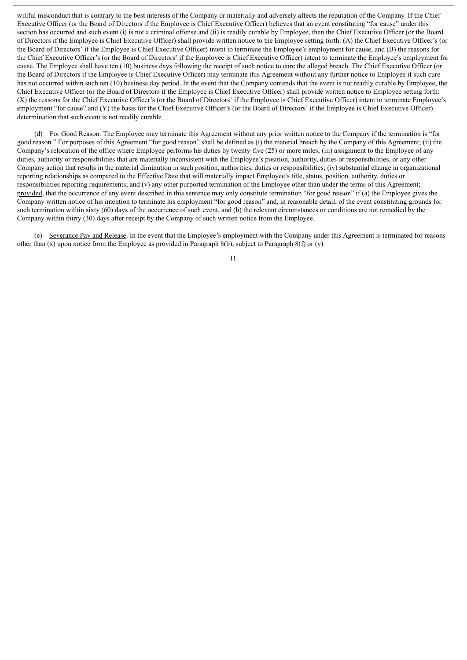willful misconduct that is contrary to the best interests of the Company or materially and adversely affects the reputation of the Company. If the Chief Executive Officer (or the Board of Directors if the Employee is Chief Executive Officer) believes that an event constituting "for cause" under this section has occurred and such event (i) is not a criminal offense and (ii) is readily curable by Employee, then the Chief Executive Officer (or the Board of Directors if the Employee is Chief Executive Officer) shall provide written notice to the Employee setting forth: (A) the Chief Executive Officer's (or the Board of Directors' if the Employee is Chief Executive Officer) intent to terminate the Employee's employment for cause, and (B) the reasons for the Chief Executive Officer's (or the Board of Directors' if the Employee is Chief Executive Officer) intent to terminate the Employee's employment for cause. The Employee shall have ten (10) business days following the receipt of such notice to cure the alleged breach. The Chief Executive Officer (or the Board of Directors if the Employee is Chief Executive Officer) may terminate this Agreement without any further notice to Employee if such cure has not occurred within such ten (10) business day period. In the event that the Company contends that the event is not readily curable by Employee, the Chief Executive Officer (or the Board of Directors if the Employee is Chief Executive Officer) shall provide written notice to Employee setting forth: (X) the reasons for the Chief Executive Officer's (or the Board of Directors' if the Employee is Chief Executive Officer) intent to terminate Employee's employment "for cause" and (Y) the basis for the Chief Executive Officer's (or the Board of Directors' if the Employee is Chief Executive Officer) determination that such event is not readily curable.

(d) For Good Reason. The Employee may terminate this Agreement without any prior written notice to the Company if the termination is "for good reason." For purposes of this Agreement "for good reason" shall be defined as (i) the material breach by the Company of this Agreement; (ii) the Company's relocation of the office where Employee performs his duties by twenty-five (25) or more miles; (iii) assignment to the Employee of any duties, authority or responsibilities that are materially inconsistent with the Employee's position, authority, duties or responsibilities, or any other Company action that results in the material diminution in such position, authorities, duties or responsibilities; (iv) substantial change in organizational reporting relationships as compared to the Effective Date that will materially impact Employee's title, status, position, authority, duties or responsibilities reporting requirements; and (v) any other purported termination of the Employee other than under the terms of this Agreement; provided, that the occurrence of any event described in this sentence may only constitute termination "for good reason" if (a) the Employee gives the Company written notice of his intention to terminate his employment "for good reason" and, in reasonable detail, of the event constituting grounds for such termination within sixty (60) days of the occurrence of such event, and (b) the relevant circumstances or conditions are not remedied by the Company within thirty (30) days after receipt by the Company of such written notice from the Employee.

(e) Severance Pay and Release. In the event that the Employee's employment with the Company under this Agreement is terminated for reasons other than (x) upon notice from the Employee as provided in Paragraph 8(b), subject to Paragraph 8(f) or (y)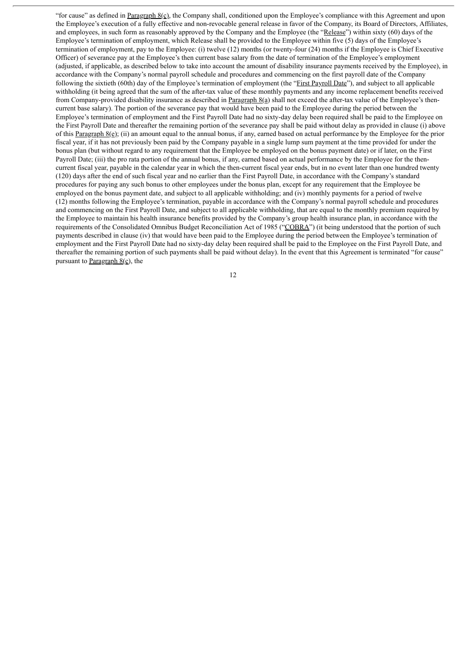"for cause" as defined in Paragraph 8(c), the Company shall, conditioned upon the Employee's compliance with this Agreement and upon the Employee's execution of a fully effective and non-revocable general release in favor of the Company, its Board of Directors, Affiliates, and employees, in such form as reasonably approved by the Company and the Employee (the "Release") within sixty (60) days of the Employee's termination of employment, which Release shall be provided to the Employee within five (5) days of the Employee's termination of employment, pay to the Employee: (i) twelve (12) months (or twenty-four (24) months if the Employee is Chief Executive Officer) of severance pay at the Employee's then current base salary from the date of termination of the Employee's employment (adjusted, if applicable, as described below to take into account the amount of disability insurance payments received by the Employee), in accordance with the Company's normal payroll schedule and procedures and commencing on the first payroll date of the Company following the sixtieth (60th) day of the Employee's termination of employment (the "First Payroll Date"), and subject to all applicable withholding (it being agreed that the sum of the after-tax value of these monthly payments and any income replacement benefits received from Company-provided disability insurance as described in Paragraph  $8(a)$  shall not exceed the after-tax value of the Employee's thencurrent base salary). The portion of the severance pay that would have been paid to the Employee during the period between the Employee's termination of employment and the First Payroll Date had no sixty-day delay been required shall be paid to the Employee on the First Payroll Date and thereafter the remaining portion of the severance pay shall be paid without delay as provided in clause (i) above of this Paragraph 8(e); (ii) an amount equal to the annual bonus, if any, earned based on actual performance by the Employee for the prior fiscal year, if it has not previously been paid by the Company payable in a single lump sum payment at the time provided for under the bonus plan (but without regard to any requirement that the Employee be employed on the bonus payment date) or if later, on the First Payroll Date; (iii) the pro rata portion of the annual bonus, if any, earned based on actual performance by the Employee for the thencurrent fiscal year, payable in the calendar year in which the then-current fiscal year ends, but in no event later than one hundred twenty (120) days after the end of such fiscal year and no earlier than the First Payroll Date, in accordance with the Company's standard procedures for paying any such bonus to other employees under the bonus plan, except for any requirement that the Employee be employed on the bonus payment date, and subject to all applicable withholding; and (iv) monthly payments for a period of twelve (12) months following the Employee's termination, payable in accordance with the Company's normal payroll schedule and procedures and commencing on the First Payroll Date, and subject to all applicable withholding, that are equal to the monthly premium required by the Employee to maintain his health insurance benefits provided by the Company's group health insurance plan, in accordance with the requirements of the Consolidated Omnibus Budget Reconciliation Act of 1985 ("COBRA") (it being understood that the portion of such payments described in clause (iv) that would have been paid to the Employee during the period between the Employee's termination of employment and the First Payroll Date had no sixty-day delay been required shall be paid to the Employee on the First Payroll Date, and thereafter the remaining portion of such payments shall be paid without delay). In the event that this Agreement is terminated "for cause" pursuant to Paragraph  $8(\text{c})$ , the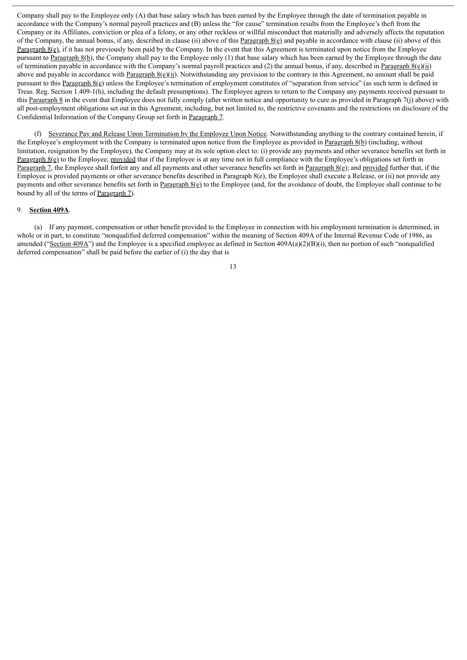Company shall pay to the Employee only (A) that base salary which has been earned by the Employee through the date of termination payable in accordance with the Company's normal payroll practices and (B) unless the "for cause" termination results from the Employee's theft from the Company or its Affiliates, conviction or plea of a felony, or any other reckless or willful misconduct that materially and adversely affects the reputation of the Company, the annual bonus, if any, described in clause (ii) above of this Paragraph  $8(e)$  and payable in accordance with clause (ii) above of this Paragraph  $8(e)$ , if it has not previously been paid by the Company. In the event that this Agreement is terminated upon notice from the Employee pursuant to Paragraph 8(b), the Company shall pay to the Employee only (1) that base salary which has been earned by the Employee through the date of termination payable in accordance with the Company's normal payroll practices and (2) the annual bonus, if any, described in Paragraph  $8(e)$ (ii) above and payable in accordance with Paragraph  $g(\hat{e})(ii)$ . Notwithstanding any provision to the contrary in this Agreement, no amount shall be paid pursuant to this Paragraph  $8(e)$  unless the Employee's termination of employment constitutes of "separation from service" (as such term is defined in Treas. Reg. Section 1.409-1(h), including the default presumptions). The Employee agrees to return to the Company any payments received pursuant to this Paragraph 8 in the event that Employee does not fully comply (after written notice and opportunity to cure as provided in Paragraph 7(j) above) with all post-employment obligations set out in this Agreement, including, but not limited to, the restrictive covenants and the restrictions on disclosure of the Confidential Information of the Company Group set forth in Paragraph 7.

(f) Severance Pay and Release Upon Termination by the Employee Upon Notice. Notwithstanding anything to the contrary contained herein, if the Employee's employment with the Company is terminated upon notice from the Employee as provided in Paragraph 8(b) (including, without limitation, resignation by the Employee), the Company may at its sole option elect to: (i) provide any payments and other severance benefits set forth in Paragraph 8(e) to the Employee; provided that if the Employee is at any time not in full compliance with the Employee's obligations set forth in Paragraph 7, the Employee shall forfeit any and all payments and other severance benefits set forth in Paragraph 8(e); and provided further that, if the Employee is provided payments or other severance benefits described in Paragraph 8(e), the Employee shall execute a Release, or (ii) not provide any payments and other severance benefits set forth in Paragraph  $8(e)$  to the Employee (and, for the avoidance of doubt, the Employee shall continue to be bound by all of the terms of Paragraph 7).

#### 9. **Section 409A**.

(a) If any payment, compensation or other benefit provided to the Employee in connection with his employment termination is determined, in whole or in part, to constitute "nonqualified deferred compensation" within the meaning of Section 409A of the Internal Revenue Code of 1986, as amended ("Section 409A") and the Employee is a specified employee as defined in Section 409A(a)(2)(B)(i), then no portion of such "nonqualified deferred compensation" shall be paid before the earlier of (i) the day that is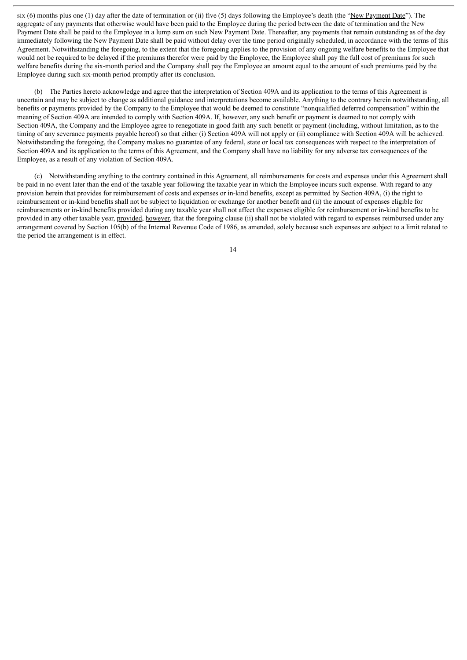six (6) months plus one (1) day after the date of termination or (ii) five (5) days following the Employee's death (the "New Payment Date"). The aggregate of any payments that otherwise would have been paid to the Employee during the period between the date of termination and the New Payment Date shall be paid to the Employee in a lump sum on such New Payment Date. Thereafter, any payments that remain outstanding as of the day immediately following the New Payment Date shall be paid without delay over the time period originally scheduled, in accordance with the terms of this Agreement. Notwithstanding the foregoing, to the extent that the foregoing applies to the provision of any ongoing welfare benefits to the Employee that would not be required to be delayed if the premiums therefor were paid by the Employee, the Employee shall pay the full cost of premiums for such welfare benefits during the six-month period and the Company shall pay the Employee an amount equal to the amount of such premiums paid by the Employee during such six-month period promptly after its conclusion.

(b) The Parties hereto acknowledge and agree that the interpretation of Section 409A and its application to the terms of this Agreement is uncertain and may be subject to change as additional guidance and interpretations become available. Anything to the contrary herein notwithstanding, all benefits or payments provided by the Company to the Employee that would be deemed to constitute "nonqualified deferred compensation" within the meaning of Section 409A are intended to comply with Section 409A. If, however, any such benefit or payment is deemed to not comply with Section 409A, the Company and the Employee agree to renegotiate in good faith any such benefit or payment (including, without limitation, as to the timing of any severance payments payable hereof) so that either (i) Section 409A will not apply or (ii) compliance with Section 409A will be achieved. Notwithstanding the foregoing, the Company makes no guarantee of any federal, state or local tax consequences with respect to the interpretation of Section 409A and its application to the terms of this Agreement, and the Company shall have no liability for any adverse tax consequences of the Employee, as a result of any violation of Section 409A.

(c) Notwithstanding anything to the contrary contained in this Agreement, all reimbursements for costs and expenses under this Agreement shall be paid in no event later than the end of the taxable year following the taxable year in which the Employee incurs such expense. With regard to any provision herein that provides for reimbursement of costs and expenses or in-kind benefits, except as permitted by Section 409A, (i) the right to reimbursement or in-kind benefits shall not be subject to liquidation or exchange for another benefit and (ii) the amount of expenses eligible for reimbursements or in-kind benefits provided during any taxable year shall not affect the expenses eligible for reimbursement or in-kind benefits to be provided in any other taxable year, provided, however, that the foregoing clause (ii) shall not be violated with regard to expenses reimbursed under any arrangement covered by Section 105(b) of the Internal Revenue Code of 1986, as amended, solely because such expenses are subject to a limit related to the period the arrangement is in effect.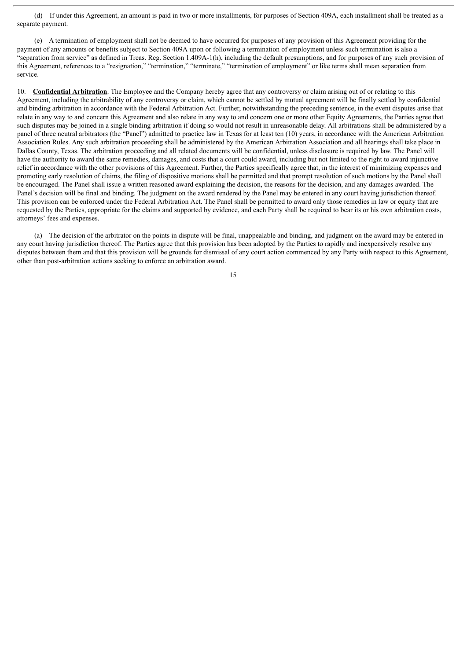(d) If under this Agreement, an amount is paid in two or more installments, for purposes of Section 409A, each installment shall be treated as a separate payment.

(e) A termination of employment shall not be deemed to have occurred for purposes of any provision of this Agreement providing for the payment of any amounts or benefits subject to Section 409A upon or following a termination of employment unless such termination is also a "separation from service" as defined in Treas. Reg. Section 1.409A-1(h), including the default presumptions, and for purposes of any such provision of this Agreement, references to a "resignation," "termination," "terminate," "termination of employment" or like terms shall mean separation from service.

10. **Confidential Arbitration**. The Employee and the Company hereby agree that any controversy or claim arising out of or relating to this Agreement, including the arbitrability of any controversy or claim, which cannot be settled by mutual agreement will be finally settled by confidential and binding arbitration in accordance with the Federal Arbitration Act. Further, notwithstanding the preceding sentence, in the event disputes arise that relate in any way to and concern this Agreement and also relate in any way to and concern one or more other Equity Agreements, the Parties agree that such disputes may be joined in a single binding arbitration if doing so would not result in unreasonable delay. All arbitrations shall be administered by a panel of three neutral arbitrators (the "Panel") admitted to practice law in Texas for at least ten (10) years, in accordance with the American Arbitration Association Rules. Any such arbitration proceeding shall be administered by the American Arbitration Association and all hearings shall take place in Dallas County, Texas. The arbitration proceeding and all related documents will be confidential, unless disclosure is required by law. The Panel will have the authority to award the same remedies, damages, and costs that a court could award, including but not limited to the right to award injunctive relief in accordance with the other provisions of this Agreement. Further, the Parties specifically agree that, in the interest of minimizing expenses and promoting early resolution of claims, the filing of dispositive motions shall be permitted and that prompt resolution of such motions by the Panel shall be encouraged. The Panel shall issue a written reasoned award explaining the decision, the reasons for the decision, and any damages awarded. The Panel's decision will be final and binding. The judgment on the award rendered by the Panel may be entered in any court having jurisdiction thereof. This provision can be enforced under the Federal Arbitration Act. The Panel shall be permitted to award only those remedies in law or equity that are requested by the Parties, appropriate for the claims and supported by evidence, and each Party shall be required to bear its or his own arbitration costs, attorneys' fees and expenses.

(a) The decision of the arbitrator on the points in dispute will be final, unappealable and binding, and judgment on the award may be entered in any court having jurisdiction thereof. The Parties agree that this provision has been adopted by the Parties to rapidly and inexpensively resolve any disputes between them and that this provision will be grounds for dismissal of any court action commenced by any Party with respect to this Agreement, other than post-arbitration actions seeking to enforce an arbitration award.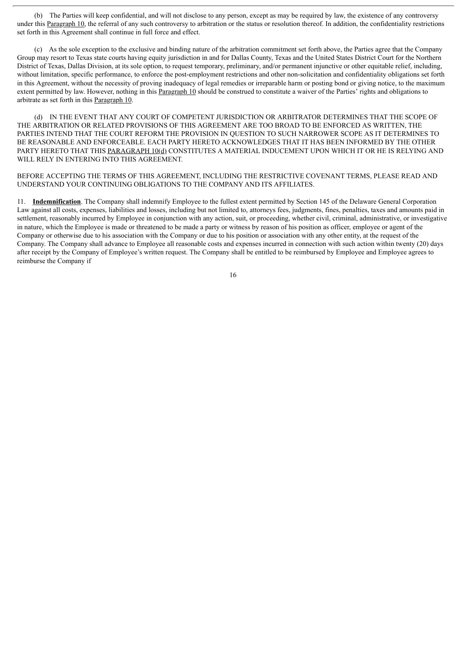(b) The Parties will keep confidential, and will not disclose to any person, except as may be required by law, the existence of any controversy under this Paragraph 10, the referral of any such controversy to arbitration or the status or resolution thereof. In addition, the confidentiality restrictions set forth in this Agreement shall continue in full force and effect.

(c) As the sole exception to the exclusive and binding nature of the arbitration commitment set forth above, the Parties agree that the Company Group may resort to Texas state courts having equity jurisdiction in and for Dallas County, Texas and the United States District Court for the Northern District of Texas, Dallas Division, at its sole option, to request temporary, preliminary, and/or permanent injunctive or other equitable relief, including, without limitation, specific performance, to enforce the post-employment restrictions and other non-solicitation and confidentiality obligations set forth in this Agreement, without the necessity of proving inadequacy of legal remedies or irreparable harm or posting bond or giving notice, to the maximum extent permitted by law. However, nothing in this Paragraph 10 should be construed to constitute a waiver of the Parties' rights and obligations to arbitrate as set forth in this Paragraph 10.

(d) IN THE EVENT THAT ANY COURT OF COMPETENT JURISDICTION OR ARBITRATOR DETERMINES THAT THE SCOPE OF THE ARBITRATION OR RELATED PROVISIONS OF THIS AGREEMENT ARE TOO BROAD TO BE ENFORCED AS WRITTEN, THE PARTIES INTEND THAT THE COURT REFORM THE PROVISION IN QUESTION TO SUCH NARROWER SCOPE AS IT DETERMINES TO BE REASONABLE AND ENFORCEABLE. EACH PARTY HERETO ACKNOWLEDGES THAT IT HAS BEEN INFORMED BY THE OTHER PARTY HERETO THAT THIS PARAGRAPH 10(d) CONSTITUTES A MATERIAL INDUCEMENT UPON WHICH IT OR HE IS RELYING AND WILL RELY IN ENTERING INTO THIS AGREEMENT.

#### BEFORE ACCEPTING THE TERMS OF THIS AGREEMENT, INCLUDING THE RESTRICTIVE COVENANT TERMS, PLEASE READ AND UNDERSTAND YOUR CONTINUING OBLIGATIONS TO THE COMPANY AND ITS AFFILIATES.

11. **Indemnification**. The Company shall indemnify Employee to the fullest extent permitted by Section 145 of the Delaware General Corporation Law against all costs, expenses, liabilities and losses, including but not limited to, attorneys fees, judgments, fines, penalties, taxes and amounts paid in settlement, reasonably incurred by Employee in conjunction with any action, suit, or proceeding, whether civil, criminal, administrative, or investigative in nature, which the Employee is made or threatened to be made a party or witness by reason of his position as officer, employee or agent of the Company or otherwise due to his association with the Company or due to his position or association with any other entity, at the request of the Company. The Company shall advance to Employee all reasonable costs and expenses incurred in connection with such action within twenty (20) days after receipt by the Company of Employee's written request. The Company shall be entitled to be reimbursed by Employee and Employee agrees to reimburse the Company if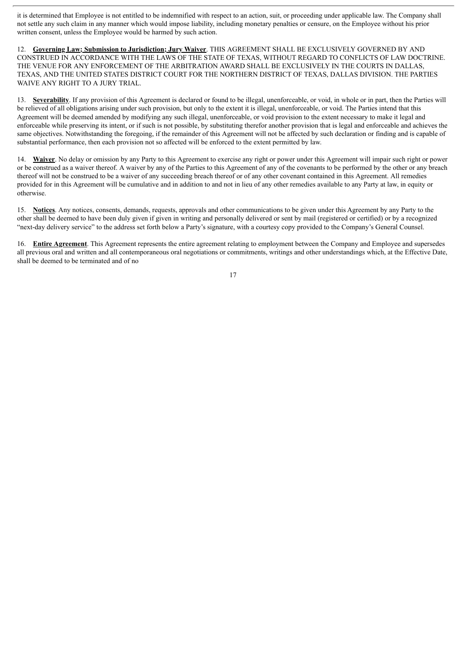it is determined that Employee is not entitled to be indemnified with respect to an action, suit, or proceeding under applicable law. The Company shall not settle any such claim in any manner which would impose liability, including monetary penalties or censure, on the Employee without his prior written consent, unless the Employee would be harmed by such action.

12. **Governing Law; Submission to Jurisdiction; Jury Waiver**. THIS AGREEMENT SHALL BE EXCLUSIVELY GOVERNED BY AND CONSTRUED IN ACCORDANCE WITH THE LAWS OF THE STATE OF TEXAS, WITHOUT REGARD TO CONFLICTS OF LAW DOCTRINE. THE VENUE FOR ANY ENFORCEMENT OF THE ARBITRATION AWARD SHALL BE EXCLUSIVELY IN THE COURTS IN DALLAS, TEXAS, AND THE UNITED STATES DISTRICT COURT FOR THE NORTHERN DISTRICT OF TEXAS, DALLAS DIVISION. THE PARTIES WAIVE ANY RIGHT TO A JURY TRIAL.

13. **Severability**. If any provision of this Agreement is declared or found to be illegal, unenforceable, or void, in whole or in part, then the Parties will be relieved of all obligations arising under such provision, but only to the extent it is illegal, unenforceable, or void. The Parties intend that this Agreement will be deemed amended by modifying any such illegal, unenforceable, or void provision to the extent necessary to make it legal and enforceable while preserving its intent, or if such is not possible, by substituting therefor another provision that is legal and enforceable and achieves the same objectives. Notwithstanding the foregoing, if the remainder of this Agreement will not be affected by such declaration or finding and is capable of substantial performance, then each provision not so affected will be enforced to the extent permitted by law.

14. **Waiver**. No delay or omission by any Party to this Agreement to exercise any right or power under this Agreement will impair such right or power or be construed as a waiver thereof. A waiver by any of the Parties to this Agreement of any of the covenants to be performed by the other or any breach thereof will not be construed to be a waiver of any succeeding breach thereof or of any other covenant contained in this Agreement. All remedies provided for in this Agreement will be cumulative and in addition to and not in lieu of any other remedies available to any Party at law, in equity or otherwise.

15. **Notices**. Any notices, consents, demands, requests, approvals and other communications to be given under this Agreement by any Party to the other shall be deemed to have been duly given if given in writing and personally delivered or sent by mail (registered or certified) or by a recognized "next-day delivery service" to the address set forth below a Party's signature, with a courtesy copy provided to the Company's General Counsel.

16. **Entire Agreement**. This Agreement represents the entire agreement relating to employment between the Company and Employee and supersedes all previous oral and written and all contemporaneous oral negotiations or commitments, writings and other understandings which, at the Effective Date, shall be deemed to be terminated and of no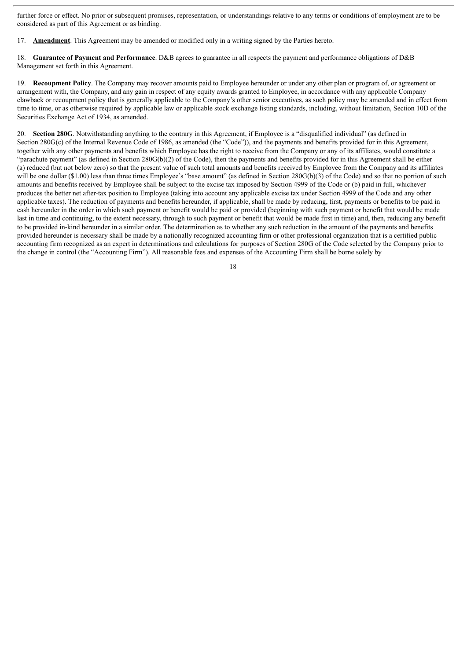further force or effect. No prior or subsequent promises, representation, or understandings relative to any terms or conditions of employment are to be considered as part of this Agreement or as binding.

17. **Amendment**. This Agreement may be amended or modified only in a writing signed by the Parties hereto.

18. **Guarantee of Payment and Performance**. D&B agrees to guarantee in all respects the payment and performance obligations of D&B Management set forth in this Agreement.

19. **Recoupment Policy**. The Company may recover amounts paid to Employee hereunder or under any other plan or program of, or agreement or arrangement with, the Company, and any gain in respect of any equity awards granted to Employee, in accordance with any applicable Company clawback or recoupment policy that is generally applicable to the Company's other senior executives, as such policy may be amended and in effect from time to time, or as otherwise required by applicable law or applicable stock exchange listing standards, including, without limitation, Section 10D of the Securities Exchange Act of 1934, as amended.

20. **Section 280G**. Notwithstanding anything to the contrary in this Agreement, if Employee is a "disqualified individual" (as defined in Section 280G(c) of the Internal Revenue Code of 1986, as amended (the "Code")), and the payments and benefits provided for in this Agreement, together with any other payments and benefits which Employee has the right to receive from the Company or any of its affiliates, would constitute a "parachute payment" (as defined in Section 280G(b)(2) of the Code), then the payments and benefits provided for in this Agreement shall be either (a) reduced (but not below zero) so that the present value of such total amounts and benefits received by Employee from the Company and its affiliates will be one dollar (\$1.00) less than three times Employee's "base amount" (as defined in Section 280G(b)(3) of the Code) and so that no portion of such amounts and benefits received by Employee shall be subject to the excise tax imposed by Section 4999 of the Code or (b) paid in full, whichever produces the better net after-tax position to Employee (taking into account any applicable excise tax under Section 4999 of the Code and any other applicable taxes). The reduction of payments and benefits hereunder, if applicable, shall be made by reducing, first, payments or benefits to be paid in cash hereunder in the order in which such payment or benefit would be paid or provided (beginning with such payment or benefit that would be made last in time and continuing, to the extent necessary, through to such payment or benefit that would be made first in time) and, then, reducing any benefit to be provided in-kind hereunder in a similar order. The determination as to whether any such reduction in the amount of the payments and benefits provided hereunder is necessary shall be made by a nationally recognized accounting firm or other professional organization that is a certified public accounting firm recognized as an expert in determinations and calculations for purposes of Section 280G of the Code selected by the Company prior to the change in control (the "Accounting Firm"). All reasonable fees and expenses of the Accounting Firm shall be borne solely by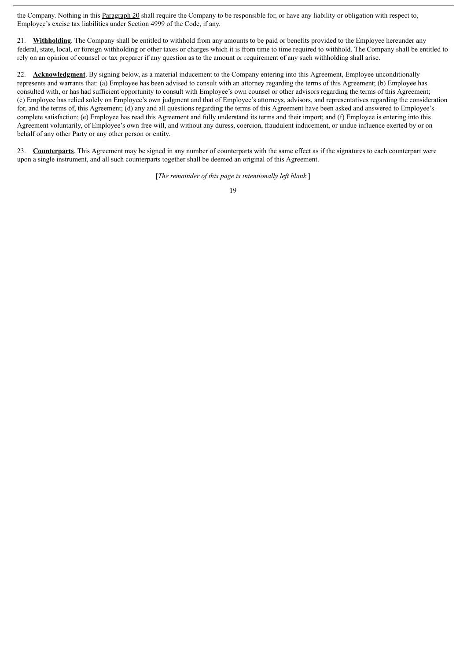the Company. Nothing in this Paragraph 20 shall require the Company to be responsible for, or have any liability or obligation with respect to, Employee's excise tax liabilities under Section 4999 of the Code, if any.

21. **Withholding**. The Company shall be entitled to withhold from any amounts to be paid or benefits provided to the Employee hereunder any federal, state, local, or foreign withholding or other taxes or charges which it is from time to time required to withhold. The Company shall be entitled to rely on an opinion of counsel or tax preparer if any question as to the amount or requirement of any such withholding shall arise.

22. **Acknowledgment**. By signing below, as a material inducement to the Company entering into this Agreement, Employee unconditionally represents and warrants that: (a) Employee has been advised to consult with an attorney regarding the terms of this Agreement; (b) Employee has consulted with, or has had sufficient opportunity to consult with Employee's own counsel or other advisors regarding the terms of this Agreement; (c) Employee has relied solely on Employee's own judgment and that of Employee's attorneys, advisors, and representatives regarding the consideration for, and the terms of, this Agreement; (d) any and all questions regarding the terms of this Agreement have been asked and answered to Employee's complete satisfaction; (e) Employee has read this Agreement and fully understand its terms and their import; and (f) Employee is entering into this Agreement voluntarily, of Employee's own free will, and without any duress, coercion, fraudulent inducement, or undue influence exerted by or on behalf of any other Party or any other person or entity.

23. **Counterparts**. This Agreement may be signed in any number of counterparts with the same effect as if the signatures to each counterpart were upon a single instrument, and all such counterparts together shall be deemed an original of this Agreement.

[*The remainder of this page is intentionally left blank.*]

<sup>19</sup>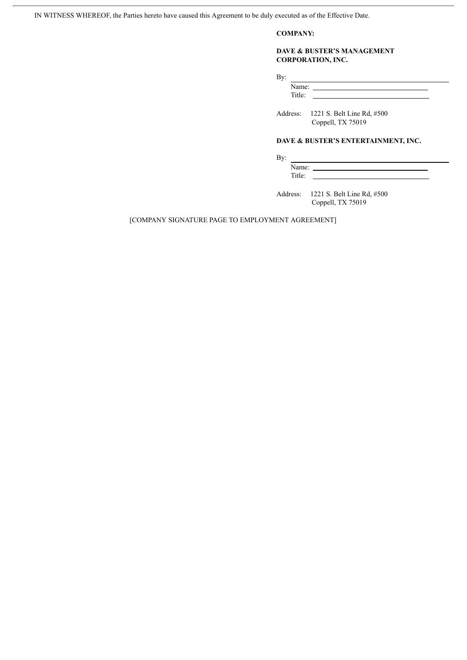IN WITNESS WHEREOF, the Parties hereto have caused this Agreement to be duly executed as of the Effective Date.

### **COMPANY:**

### **DAVE & BUSTER'S MANAGEMENT CORPORATION, INC.**

By:

| $\mathbf{r}$<br>Name: |  |
|-----------------------|--|
| . <b>.</b> .          |  |
|                       |  |

Address: 1221 S. Belt Line Rd, #500 Coppell, TX 75019

### **DAVE & BUSTER'S ENTERTAINMENT, INC.**

By:

Name: Title:

Address: 1221 S. Belt Line Rd, #500 Coppell, TX 75019

[COMPANY SIGNATURE PAGE TO EMPLOYMENT AGREEMENT]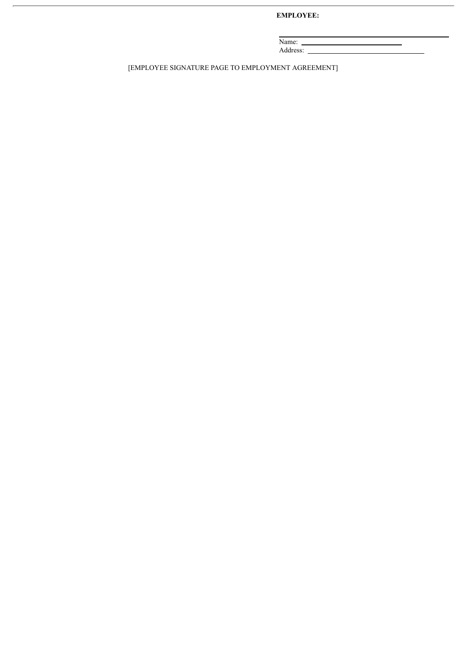### **EMPLOYEE:**

Name: Address:

[EMPLOYEE SIGNATURE PAGE TO EMPLOYMENT AGREEMENT]

 $\bar{r}$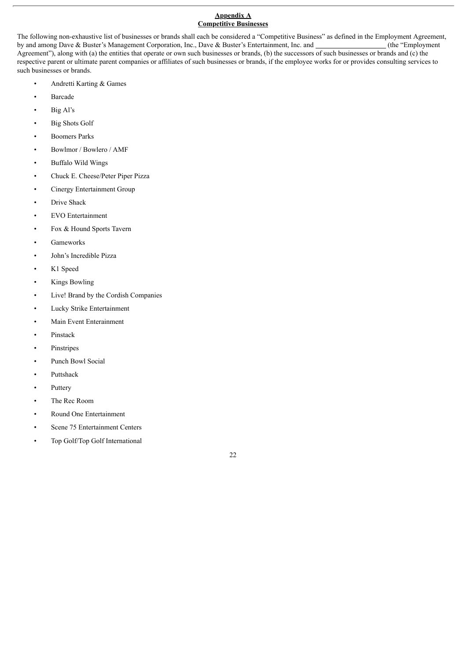#### **Appendix A Competitive Businesses**

The following non-exhaustive list of businesses or brands shall each be considered a "Competitive Business" as defined in the Employment Agreement, by and among Dave & Buster's Management Corporation, Inc., Dave & Buster's Entertainment, Inc. and (the "Employment") Agreement"), along with (a) the entities that operate or own such businesses or brands, (b) the successors of such businesses or brands and (c) the respective parent or ultimate parent companies or affiliates of such businesses or brands, if the employee works for or provides consulting services to such businesses or brands.

- Andretti Karting & Games
- Barcade
- Big Al's
- Big Shots Golf
- Boomers Parks
- Bowlmor / Bowlero / AMF
- Buffalo Wild Wings
- Chuck E. Cheese/Peter Piper Pizza
- Cinergy Entertainment Group
- Drive Shack
- EVO Entertainment
- Fox & Hound Sports Tavern
- **Gameworks**
- John's Incredible Pizza
- K1 Speed
- Kings Bowling
- Live! Brand by the Cordish Companies
- Lucky Strike Entertainment
- Main Event Enterainment
- **Pinstack**
- **Pinstripes**
- Punch Bowl Social
- Puttshack
- **Puttery**
- The Rec Room
- Round One Entertainment
- Scene 75 Entertainment Centers
- Top Golf/Top Golf International

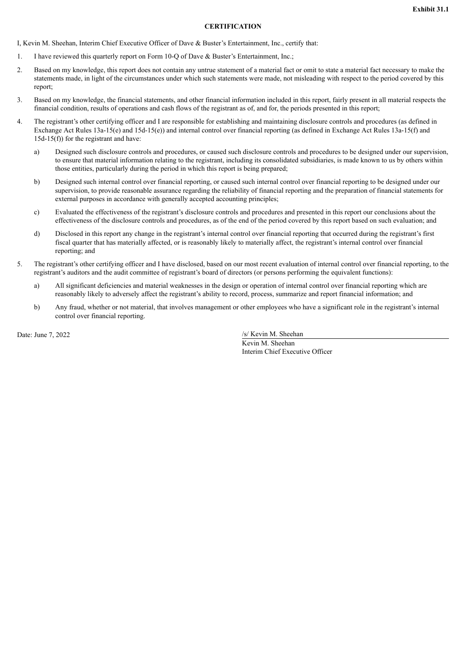<span id="page-48-0"></span>I, Kevin M. Sheehan, Interim Chief Executive Officer of Dave & Buster's Entertainment, Inc., certify that:

- 1. I have reviewed this quarterly report on Form 10-Q of Dave & Buster's Entertainment, Inc.;
- 2. Based on my knowledge, this report does not contain any untrue statement of a material fact or omit to state a material fact necessary to make the statements made, in light of the circumstances under which such statements were made, not misleading with respect to the period covered by this report;
- 3. Based on my knowledge, the financial statements, and other financial information included in this report, fairly present in all material respects the financial condition, results of operations and cash flows of the registrant as of, and for, the periods presented in this report;
- 4. The registrant's other certifying officer and I are responsible for establishing and maintaining disclosure controls and procedures (as defined in Exchange Act Rules 13a-15(e) and 15d-15(e)) and internal control over financial reporting (as defined in Exchange Act Rules 13a-15(f) and 15d-15(f)) for the registrant and have:
	- a) Designed such disclosure controls and procedures, or caused such disclosure controls and procedures to be designed under our supervision, to ensure that material information relating to the registrant, including its consolidated subsidiaries, is made known to us by others within those entities, particularly during the period in which this report is being prepared;
	- b) Designed such internal control over financial reporting, or caused such internal control over financial reporting to be designed under our supervision, to provide reasonable assurance regarding the reliability of financial reporting and the preparation of financial statements for external purposes in accordance with generally accepted accounting principles;
	- c) Evaluated the effectiveness of the registrant's disclosure controls and procedures and presented in this report our conclusions about the effectiveness of the disclosure controls and procedures, as of the end of the period covered by this report based on such evaluation; and
	- d) Disclosed in this report any change in the registrant's internal control over financial reporting that occurred during the registrant's first fiscal quarter that has materially affected, or is reasonably likely to materially affect, the registrant's internal control over financial reporting; and
- 5. The registrant's other certifying officer and I have disclosed, based on our most recent evaluation of internal control over financial reporting, to the registrant's auditors and the audit committee of registrant's board of directors (or persons performing the equivalent functions):
	- a) All significant deficiencies and material weaknesses in the design or operation of internal control over financial reporting which are reasonably likely to adversely affect the registrant's ability to record, process, summarize and report financial information; and
	- b) Any fraud, whether or not material, that involves management or other employees who have a significant role in the registrant's internal control over financial reporting.

Date: June 7, 2022 /s/ Kevin M. Sheehan

Kevin M. Sheehan Interim Chief Executive Officer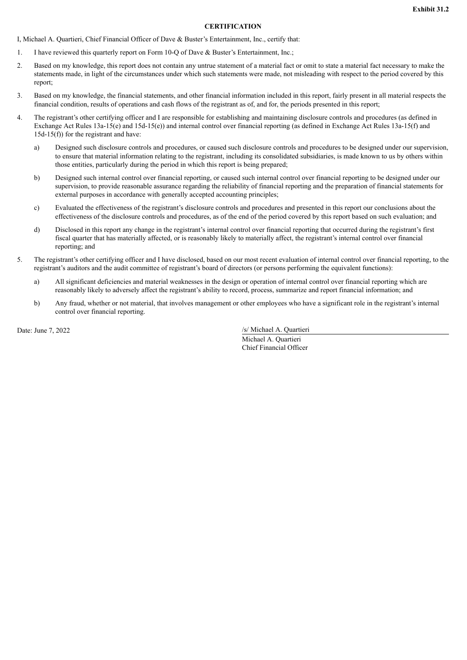<span id="page-49-0"></span>I, Michael A. Quartieri, Chief Financial Officer of Dave & Buster's Entertainment, Inc., certify that:

- 1. I have reviewed this quarterly report on Form 10-Q of Dave & Buster's Entertainment, Inc.;
- 2. Based on my knowledge, this report does not contain any untrue statement of a material fact or omit to state a material fact necessary to make the statements made, in light of the circumstances under which such statements were made, not misleading with respect to the period covered by this report;
- 3. Based on my knowledge, the financial statements, and other financial information included in this report, fairly present in all material respects the financial condition, results of operations and cash flows of the registrant as of, and for, the periods presented in this report;
- 4. The registrant's other certifying officer and I are responsible for establishing and maintaining disclosure controls and procedures (as defined in Exchange Act Rules 13a-15(e) and 15d-15(e)) and internal control over financial reporting (as defined in Exchange Act Rules 13a-15(f) and 15d-15(f)) for the registrant and have:
	- a) Designed such disclosure controls and procedures, or caused such disclosure controls and procedures to be designed under our supervision, to ensure that material information relating to the registrant, including its consolidated subsidiaries, is made known to us by others within those entities, particularly during the period in which this report is being prepared;
	- b) Designed such internal control over financial reporting, or caused such internal control over financial reporting to be designed under our supervision, to provide reasonable assurance regarding the reliability of financial reporting and the preparation of financial statements for external purposes in accordance with generally accepted accounting principles;
	- c) Evaluated the effectiveness of the registrant's disclosure controls and procedures and presented in this report our conclusions about the effectiveness of the disclosure controls and procedures, as of the end of the period covered by this report based on such evaluation; and
	- d) Disclosed in this report any change in the registrant's internal control over financial reporting that occurred during the registrant's first fiscal quarter that has materially affected, or is reasonably likely to materially affect, the registrant's internal control over financial reporting; and
- 5. The registrant's other certifying officer and I have disclosed, based on our most recent evaluation of internal control over financial reporting, to the registrant's auditors and the audit committee of registrant's board of directors (or persons performing the equivalent functions):
	- a) All significant deficiencies and material weaknesses in the design or operation of internal control over financial reporting which are reasonably likely to adversely affect the registrant's ability to record, process, summarize and report financial information; and
	- b) Any fraud, whether or not material, that involves management or other employees who have a significant role in the registrant's internal control over financial reporting.

Date: June 7, 2022 /s/ Michael A. Quartieri Michael A. Quartieri Chief Financial Officer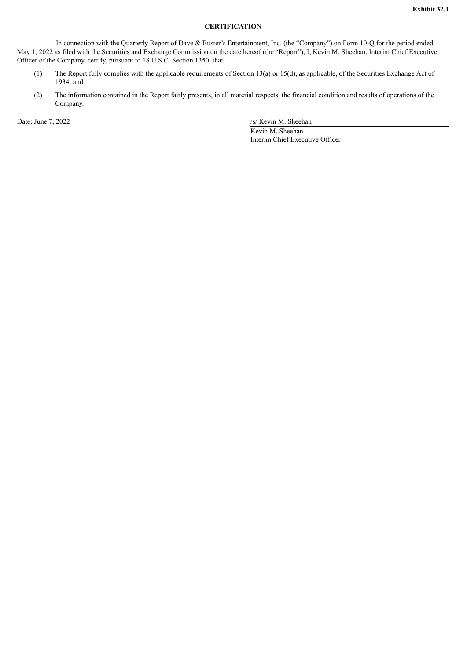<span id="page-50-0"></span>In connection with the Quarterly Report of Dave & Buster's Entertainment, Inc. (the "Company") on Form 10-Q for the period ended May 1, 2022 as filed with the Securities and Exchange Commission on the date hereof (the "Report"), I, Kevin M. Sheehan, Interim Chief Executive Officer of the Company, certify, pursuant to 18 U.S.C. Section 1350, that:

- (1) The Report fully complies with the applicable requirements of Section 13(a) or 15(d), as applicable, of the Securities Exchange Act of 1934; and
- (2) The information contained in the Report fairly presents, in all material respects, the financial condition and results of operations of the Company.

Date: June 7, 2022 /s/ Kevin M. Sheehan

Kevin M. Sheehan Interim Chief Executive Officer